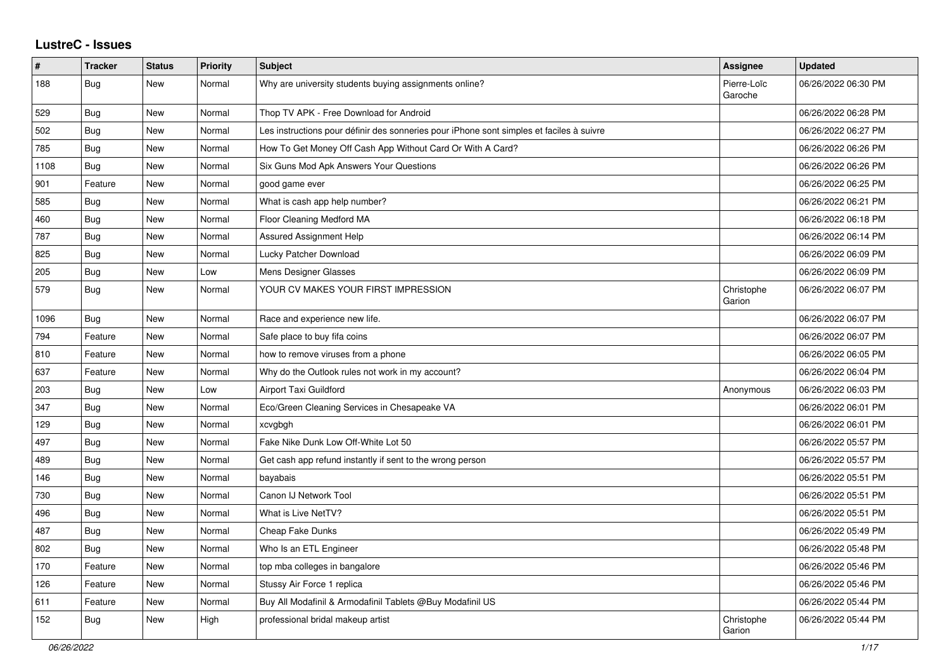## **LustreC - Issues**

| #    | <b>Tracker</b> | <b>Status</b> | <b>Priority</b> | <b>Subject</b>                                                                           | Assignee               | <b>Updated</b>      |
|------|----------------|---------------|-----------------|------------------------------------------------------------------------------------------|------------------------|---------------------|
| 188  | Bug            | <b>New</b>    | Normal          | Why are university students buying assignments online?                                   | Pierre-Loïc<br>Garoche | 06/26/2022 06:30 PM |
| 529  | Bug            | <b>New</b>    | Normal          | Thop TV APK - Free Download for Android                                                  |                        | 06/26/2022 06:28 PM |
| 502  | Bug            | New           | Normal          | Les instructions pour définir des sonneries pour iPhone sont simples et faciles à suivre |                        | 06/26/2022 06:27 PM |
| 785  | Bug            | <b>New</b>    | Normal          | How To Get Money Off Cash App Without Card Or With A Card?                               |                        | 06/26/2022 06:26 PM |
| 1108 | Bug            | New           | Normal          | Six Guns Mod Apk Answers Your Questions                                                  |                        | 06/26/2022 06:26 PM |
| 901  | Feature        | New           | Normal          | good game ever                                                                           |                        | 06/26/2022 06:25 PM |
| 585  | Bug            | <b>New</b>    | Normal          | What is cash app help number?                                                            |                        | 06/26/2022 06:21 PM |
| 460  | Bug            | <b>New</b>    | Normal          | Floor Cleaning Medford MA                                                                |                        | 06/26/2022 06:18 PM |
| 787  | Bug            | New           | Normal          | <b>Assured Assignment Help</b>                                                           |                        | 06/26/2022 06:14 PM |
| 825  | Bug            | New           | Normal          | Lucky Patcher Download                                                                   |                        | 06/26/2022 06:09 PM |
| 205  | Bug            | New           | Low             | Mens Designer Glasses                                                                    |                        | 06/26/2022 06:09 PM |
| 579  | Bug            | New           | Normal          | YOUR CV MAKES YOUR FIRST IMPRESSION                                                      | Christophe<br>Garion   | 06/26/2022 06:07 PM |
| 1096 | Bug            | New           | Normal          | Race and experience new life.                                                            |                        | 06/26/2022 06:07 PM |
| 794  | Feature        | New           | Normal          | Safe place to buy fifa coins                                                             |                        | 06/26/2022 06:07 PM |
| 810  | Feature        | <b>New</b>    | Normal          | how to remove viruses from a phone                                                       |                        | 06/26/2022 06:05 PM |
| 637  | Feature        | <b>New</b>    | Normal          | Why do the Outlook rules not work in my account?                                         |                        | 06/26/2022 06:04 PM |
| 203  | <b>Bug</b>     | <b>New</b>    | Low             | Airport Taxi Guildford                                                                   | Anonymous              | 06/26/2022 06:03 PM |
| 347  | Bug            | New           | Normal          | Eco/Green Cleaning Services in Chesapeake VA                                             |                        | 06/26/2022 06:01 PM |
| 129  | Bug            | New           | Normal          | xcvgbgh                                                                                  |                        | 06/26/2022 06:01 PM |
| 497  | Bug            | New           | Normal          | Fake Nike Dunk Low Off-White Lot 50                                                      |                        | 06/26/2022 05:57 PM |
| 489  | Bug            | New           | Normal          | Get cash app refund instantly if sent to the wrong person                                |                        | 06/26/2022 05:57 PM |
| 146  | <b>Bug</b>     | New           | Normal          | bayabais                                                                                 |                        | 06/26/2022 05:51 PM |
| 730  | Bug            | New           | Normal          | Canon IJ Network Tool                                                                    |                        | 06/26/2022 05:51 PM |
| 496  | Bug            | <b>New</b>    | Normal          | What is Live NetTV?                                                                      |                        | 06/26/2022 05:51 PM |
| 487  | <b>Bug</b>     | New           | Normal          | <b>Cheap Fake Dunks</b>                                                                  |                        | 06/26/2022 05:49 PM |
| 802  | <b>Bug</b>     | New           | Normal          | Who Is an ETL Engineer                                                                   |                        | 06/26/2022 05:48 PM |
| 170  | Feature        | New           | Normal          | top mba colleges in bangalore                                                            |                        | 06/26/2022 05:46 PM |
| 126  | Feature        | New           | Normal          | Stussy Air Force 1 replica                                                               |                        | 06/26/2022 05:46 PM |
| 611  | Feature        | New           | Normal          | Buy All Modafinil & Armodafinil Tablets @Buy Modafinil US                                |                        | 06/26/2022 05:44 PM |
| 152  | <b>Bug</b>     | <b>New</b>    | High            | professional bridal makeup artist                                                        | Christophe<br>Garion   | 06/26/2022 05:44 PM |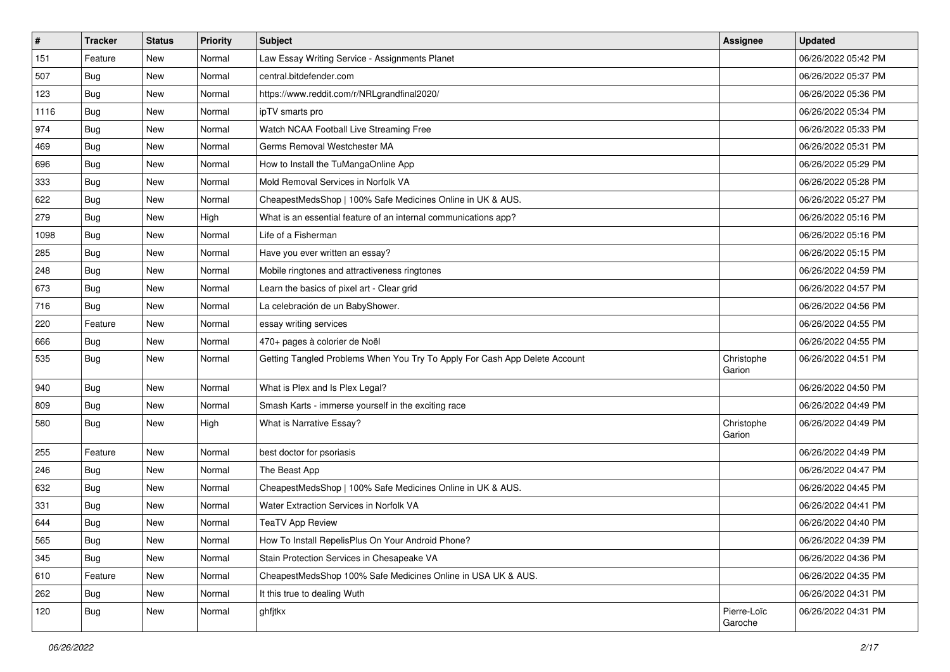| $\sharp$ | <b>Tracker</b> | <b>Status</b> | <b>Priority</b> | Subject                                                                    | Assignee               | <b>Updated</b>      |
|----------|----------------|---------------|-----------------|----------------------------------------------------------------------------|------------------------|---------------------|
| 151      | Feature        | New           | Normal          | Law Essay Writing Service - Assignments Planet                             |                        | 06/26/2022 05:42 PM |
| 507      | <b>Bug</b>     | New           | Normal          | central.bitdefender.com                                                    |                        | 06/26/2022 05:37 PM |
| 123      | Bug            | New           | Normal          | https://www.reddit.com/r/NRLgrandfinal2020/                                |                        | 06/26/2022 05:36 PM |
| 1116     | <b>Bug</b>     | New           | Normal          | ipTV smarts pro                                                            |                        | 06/26/2022 05:34 PM |
| 974      | Bug            | New           | Normal          | Watch NCAA Football Live Streaming Free                                    |                        | 06/26/2022 05:33 PM |
| 469      | Bug            | New           | Normal          | Germs Removal Westchester MA                                               |                        | 06/26/2022 05:31 PM |
| 696      | Bug            | New           | Normal          | How to Install the TuMangaOnline App                                       |                        | 06/26/2022 05:29 PM |
| 333      | <b>Bug</b>     | New           | Normal          | Mold Removal Services in Norfolk VA                                        |                        | 06/26/2022 05:28 PM |
| 622      | Bug            | New           | Normal          | CheapestMedsShop   100% Safe Medicines Online in UK & AUS.                 |                        | 06/26/2022 05:27 PM |
| 279      | Bug            | New           | High            | What is an essential feature of an internal communications app?            |                        | 06/26/2022 05:16 PM |
| 1098     | <b>Bug</b>     | New           | Normal          | Life of a Fisherman                                                        |                        | 06/26/2022 05:16 PM |
| 285      | Bug            | New           | Normal          | Have you ever written an essay?                                            |                        | 06/26/2022 05:15 PM |
| 248      | Bug            | New           | Normal          | Mobile ringtones and attractiveness ringtones                              |                        | 06/26/2022 04:59 PM |
| 673      | Bug            | New           | Normal          | Learn the basics of pixel art - Clear grid                                 |                        | 06/26/2022 04:57 PM |
| 716      | Bug            | <b>New</b>    | Normal          | La celebración de un BabyShower.                                           |                        | 06/26/2022 04:56 PM |
| 220      | Feature        | New           | Normal          | essay writing services                                                     |                        | 06/26/2022 04:55 PM |
| 666      | <b>Bug</b>     | New           | Normal          | 470+ pages à colorier de Noël                                              |                        | 06/26/2022 04:55 PM |
| 535      | Bug            | New           | Normal          | Getting Tangled Problems When You Try To Apply For Cash App Delete Account | Christophe<br>Garion   | 06/26/2022 04:51 PM |
| 940      | Bug            | New           | Normal          | What is Plex and Is Plex Legal?                                            |                        | 06/26/2022 04:50 PM |
| 809      | Bug            | <b>New</b>    | Normal          | Smash Karts - immerse yourself in the exciting race                        |                        | 06/26/2022 04:49 PM |
| 580      | <b>Bug</b>     | New           | High            | What is Narrative Essay?                                                   | Christophe<br>Garion   | 06/26/2022 04:49 PM |
| 255      | Feature        | New           | Normal          | best doctor for psoriasis                                                  |                        | 06/26/2022 04:49 PM |
| 246      | <b>Bug</b>     | New           | Normal          | The Beast App                                                              |                        | 06/26/2022 04:47 PM |
| 632      | Bug            | <b>New</b>    | Normal          | CheapestMedsShop   100% Safe Medicines Online in UK & AUS.                 |                        | 06/26/2022 04:45 PM |
| 331      | <b>Bug</b>     | New           | Normal          | Water Extraction Services in Norfolk VA                                    |                        | 06/26/2022 04:41 PM |
| 644      | <b>Bug</b>     | New           | Normal          | <b>TeaTV App Review</b>                                                    |                        | 06/26/2022 04:40 PM |
| 565      | Bug            | New           | Normal          | How To Install RepelisPlus On Your Android Phone?                          |                        | 06/26/2022 04:39 PM |
| 345      | <b>Bug</b>     | New           | Normal          | Stain Protection Services in Chesapeake VA                                 |                        | 06/26/2022 04:36 PM |
| 610      | Feature        | New           | Normal          | CheapestMedsShop 100% Safe Medicines Online in USA UK & AUS.               |                        | 06/26/2022 04:35 PM |
| 262      | <b>Bug</b>     | New           | Normal          | It this true to dealing Wuth                                               |                        | 06/26/2022 04:31 PM |
| 120      | Bug            | New           | Normal          | ghfjtkx                                                                    | Pierre-Loïc<br>Garoche | 06/26/2022 04:31 PM |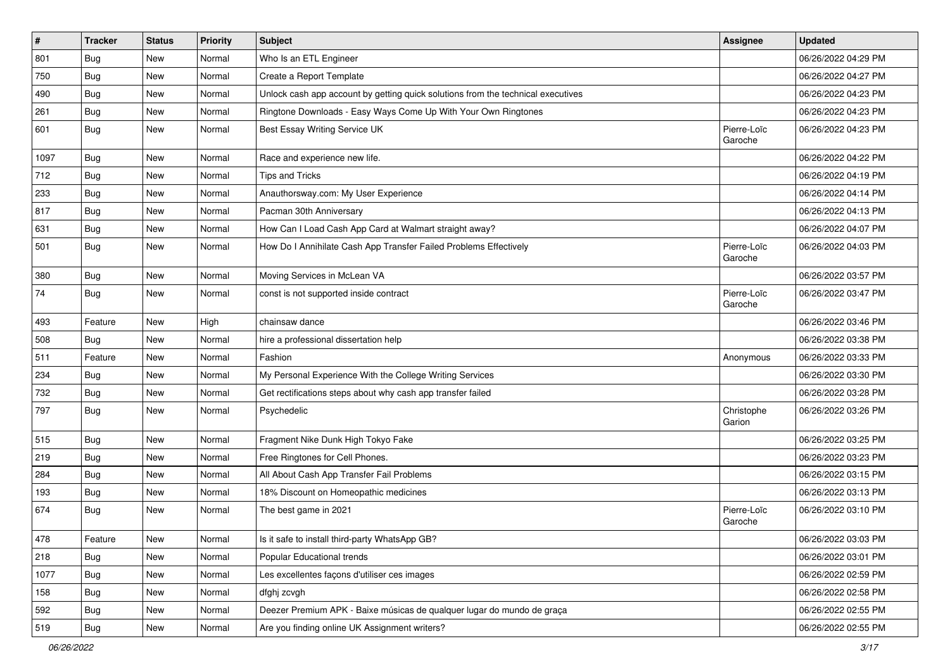| $\pmb{\sharp}$ | <b>Tracker</b> | <b>Status</b> | <b>Priority</b> | <b>Subject</b>                                                                   | <b>Assignee</b>        | <b>Updated</b>      |
|----------------|----------------|---------------|-----------------|----------------------------------------------------------------------------------|------------------------|---------------------|
| 801            | <b>Bug</b>     | New           | Normal          | Who Is an ETL Engineer                                                           |                        | 06/26/2022 04:29 PM |
| 750            | <b>Bug</b>     | New           | Normal          | Create a Report Template                                                         |                        | 06/26/2022 04:27 PM |
| 490            | <b>Bug</b>     | New           | Normal          | Unlock cash app account by getting quick solutions from the technical executives |                        | 06/26/2022 04:23 PM |
| 261            | <b>Bug</b>     | New           | Normal          | Ringtone Downloads - Easy Ways Come Up With Your Own Ringtones                   |                        | 06/26/2022 04:23 PM |
| 601            | <b>Bug</b>     | New           | Normal          | Best Essay Writing Service UK                                                    | Pierre-Loïc<br>Garoche | 06/26/2022 04:23 PM |
| 1097           | <b>Bug</b>     | New           | Normal          | Race and experience new life.                                                    |                        | 06/26/2022 04:22 PM |
| 712            | Bug            | New           | Normal          | <b>Tips and Tricks</b>                                                           |                        | 06/26/2022 04:19 PM |
| 233            | <b>Bug</b>     | New           | Normal          | Anauthorsway.com: My User Experience                                             |                        | 06/26/2022 04:14 PM |
| 817            | Bug            | <b>New</b>    | Normal          | Pacman 30th Anniversary                                                          |                        | 06/26/2022 04:13 PM |
| 631            | Bug            | New           | Normal          | How Can I Load Cash App Card at Walmart straight away?                           |                        | 06/26/2022 04:07 PM |
| 501            | <b>Bug</b>     | New           | Normal          | How Do I Annihilate Cash App Transfer Failed Problems Effectively                | Pierre-Loïc<br>Garoche | 06/26/2022 04:03 PM |
| 380            | <b>Bug</b>     | New           | Normal          | Moving Services in McLean VA                                                     |                        | 06/26/2022 03:57 PM |
| 74             | Bug            | New           | Normal          | const is not supported inside contract                                           | Pierre-Loïc<br>Garoche | 06/26/2022 03:47 PM |
| 493            | Feature        | New           | High            | chainsaw dance                                                                   |                        | 06/26/2022 03:46 PM |
| 508            | Bug            | New           | Normal          | hire a professional dissertation help                                            |                        | 06/26/2022 03:38 PM |
| 511            | Feature        | New           | Normal          | Fashion                                                                          | Anonymous              | 06/26/2022 03:33 PM |
| 234            | <b>Bug</b>     | New           | Normal          | My Personal Experience With the College Writing Services                         |                        | 06/26/2022 03:30 PM |
| 732            | Bug            | New           | Normal          | Get rectifications steps about why cash app transfer failed                      |                        | 06/26/2022 03:28 PM |
| 797            | <b>Bug</b>     | New           | Normal          | Psychedelic                                                                      | Christophe<br>Garion   | 06/26/2022 03:26 PM |
| 515            | Bug            | New           | Normal          | Fragment Nike Dunk High Tokyo Fake                                               |                        | 06/26/2022 03:25 PM |
| 219            | <b>Bug</b>     | New           | Normal          | Free Ringtones for Cell Phones.                                                  |                        | 06/26/2022 03:23 PM |
| 284            | Bug            | New           | Normal          | All About Cash App Transfer Fail Problems                                        |                        | 06/26/2022 03:15 PM |
| 193            | <b>Bug</b>     | New           | Normal          | 18% Discount on Homeopathic medicines                                            |                        | 06/26/2022 03:13 PM |
| 674            | <b>Bug</b>     | New           | Normal          | The best game in 2021                                                            | Pierre-Loïc<br>Garoche | 06/26/2022 03:10 PM |
| 478            | Feature        | New           | Normal          | Is it safe to install third-party WhatsApp GB?                                   |                        | 06/26/2022 03:03 PM |
| 218            | Bug            | New           | Normal          | Popular Educational trends                                                       |                        | 06/26/2022 03:01 PM |
| 1077           | Bug            | New           | Normal          | Les excellentes façons d'utiliser ces images                                     |                        | 06/26/2022 02:59 PM |
| 158            | <b>Bug</b>     | New           | Normal          | dfghj zcvgh                                                                      |                        | 06/26/2022 02:58 PM |
| 592            | Bug            | New           | Normal          | Deezer Premium APK - Baixe músicas de qualquer lugar do mundo de graça           |                        | 06/26/2022 02:55 PM |
| 519            | <b>Bug</b>     | New           | Normal          | Are you finding online UK Assignment writers?                                    |                        | 06/26/2022 02:55 PM |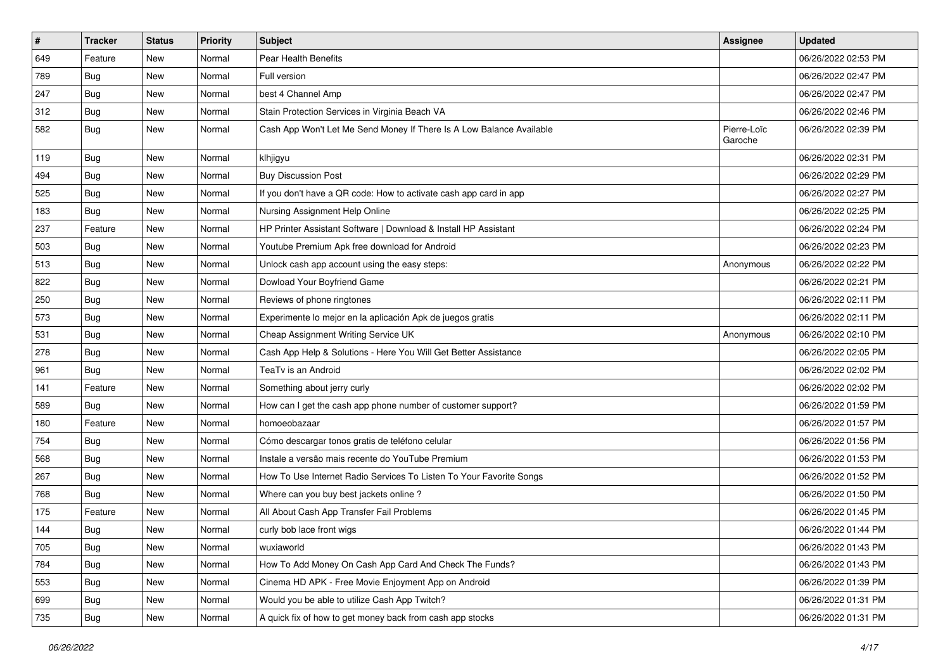| $\vert$ # | <b>Tracker</b> | <b>Status</b> | <b>Priority</b> | <b>Subject</b>                                                       | Assignee               | <b>Updated</b>      |
|-----------|----------------|---------------|-----------------|----------------------------------------------------------------------|------------------------|---------------------|
| 649       | Feature        | New           | Normal          | Pear Health Benefits                                                 |                        | 06/26/2022 02:53 PM |
| 789       | Bug            | <b>New</b>    | Normal          | Full version                                                         |                        | 06/26/2022 02:47 PM |
| 247       | <b>Bug</b>     | New           | Normal          | best 4 Channel Amp                                                   |                        | 06/26/2022 02:47 PM |
| 312       | <b>Bug</b>     | New           | Normal          | Stain Protection Services in Virginia Beach VA                       |                        | 06/26/2022 02:46 PM |
| 582       | Bug            | New           | Normal          | Cash App Won't Let Me Send Money If There Is A Low Balance Available | Pierre-Loïc<br>Garoche | 06/26/2022 02:39 PM |
| 119       | <b>Bug</b>     | New           | Normal          | klhjigyu                                                             |                        | 06/26/2022 02:31 PM |
| 494       | Bug            | New           | Normal          | <b>Buy Discussion Post</b>                                           |                        | 06/26/2022 02:29 PM |
| 525       | <b>Bug</b>     | New           | Normal          | If you don't have a QR code: How to activate cash app card in app    |                        | 06/26/2022 02:27 PM |
| 183       | <b>Bug</b>     | New           | Normal          | Nursing Assignment Help Online                                       |                        | 06/26/2022 02:25 PM |
| 237       | Feature        | New           | Normal          | HP Printer Assistant Software   Download & Install HP Assistant      |                        | 06/26/2022 02:24 PM |
| 503       | <b>Bug</b>     | New           | Normal          | Youtube Premium Apk free download for Android                        |                        | 06/26/2022 02:23 PM |
| 513       | Bug            | New           | Normal          | Unlock cash app account using the easy steps:                        | Anonymous              | 06/26/2022 02:22 PM |
| 822       | Bug            | New           | Normal          | Dowload Your Boyfriend Game                                          |                        | 06/26/2022 02:21 PM |
| 250       | <b>Bug</b>     | New           | Normal          | Reviews of phone ringtones                                           |                        | 06/26/2022 02:11 PM |
| 573       | <b>Bug</b>     | New           | Normal          | Experimente lo mejor en la aplicación Apk de juegos gratis           |                        | 06/26/2022 02:11 PM |
| 531       | <b>Bug</b>     | New           | Normal          | Cheap Assignment Writing Service UK                                  | Anonymous              | 06/26/2022 02:10 PM |
| 278       | Bug            | New           | Normal          | Cash App Help & Solutions - Here You Will Get Better Assistance      |                        | 06/26/2022 02:05 PM |
| 961       | <b>Bug</b>     | New           | Normal          | TeaTv is an Android                                                  |                        | 06/26/2022 02:02 PM |
| 141       | Feature        | New           | Normal          | Something about jerry curly                                          |                        | 06/26/2022 02:02 PM |
| 589       | <b>Bug</b>     | New           | Normal          | How can I get the cash app phone number of customer support?         |                        | 06/26/2022 01:59 PM |
| 180       | Feature        | New           | Normal          | homoeobazaar                                                         |                        | 06/26/2022 01:57 PM |
| 754       | Bug            | New           | Normal          | Cómo descargar tonos gratis de teléfono celular                      |                        | 06/26/2022 01:56 PM |
| 568       | <b>Bug</b>     | New           | Normal          | Instale a versão mais recente do YouTube Premium                     |                        | 06/26/2022 01:53 PM |
| 267       | <b>Bug</b>     | New           | Normal          | How To Use Internet Radio Services To Listen To Your Favorite Songs  |                        | 06/26/2022 01:52 PM |
| 768       | Bug            | New           | Normal          | Where can you buy best jackets online?                               |                        | 06/26/2022 01:50 PM |
| 175       | Feature        | New           | Normal          | All About Cash App Transfer Fail Problems                            |                        | 06/26/2022 01:45 PM |
| 144       | <b>Bug</b>     | New           | Normal          | curly bob lace front wigs                                            |                        | 06/26/2022 01:44 PM |
| 705       | <b>Bug</b>     | New           | Normal          | wuxiaworld                                                           |                        | 06/26/2022 01:43 PM |
| 784       | <b>Bug</b>     | New           | Normal          | How To Add Money On Cash App Card And Check The Funds?               |                        | 06/26/2022 01:43 PM |
| 553       | Bug            | New           | Normal          | Cinema HD APK - Free Movie Enjoyment App on Android                  |                        | 06/26/2022 01:39 PM |
| 699       | Bug            | New           | Normal          | Would you be able to utilize Cash App Twitch?                        |                        | 06/26/2022 01:31 PM |
| 735       | <b>Bug</b>     | New           | Normal          | A quick fix of how to get money back from cash app stocks            |                        | 06/26/2022 01:31 PM |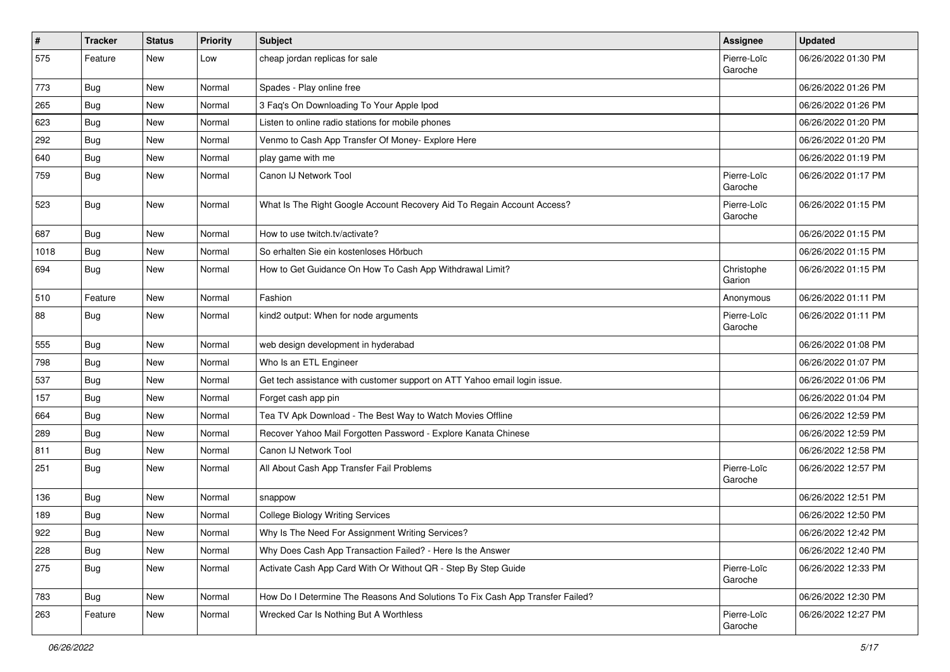| $\vert$ # | <b>Tracker</b> | <b>Status</b> | <b>Priority</b> | Subject                                                                       | Assignee               | <b>Updated</b>      |
|-----------|----------------|---------------|-----------------|-------------------------------------------------------------------------------|------------------------|---------------------|
| 575       | Feature        | New           | Low             | cheap jordan replicas for sale                                                | Pierre-Loïc<br>Garoche | 06/26/2022 01:30 PM |
| 773       | <b>Bug</b>     | New           | Normal          | Spades - Play online free                                                     |                        | 06/26/2022 01:26 PM |
| 265       | Bug            | New           | Normal          | 3 Faq's On Downloading To Your Apple Ipod                                     |                        | 06/26/2022 01:26 PM |
| 623       | Bug            | New           | Normal          | Listen to online radio stations for mobile phones                             |                        | 06/26/2022 01:20 PM |
| 292       | <b>Bug</b>     | New           | Normal          | Venmo to Cash App Transfer Of Money- Explore Here                             |                        | 06/26/2022 01:20 PM |
| 640       | Bug            | New           | Normal          | play game with me                                                             |                        | 06/26/2022 01:19 PM |
| 759       | <b>Bug</b>     | New           | Normal          | Canon IJ Network Tool                                                         | Pierre-Loïc<br>Garoche | 06/26/2022 01:17 PM |
| 523       | Bug            | New           | Normal          | What Is The Right Google Account Recovery Aid To Regain Account Access?       | Pierre-Loïc<br>Garoche | 06/26/2022 01:15 PM |
| 687       | Bug            | New           | Normal          | How to use twitch.tv/activate?                                                |                        | 06/26/2022 01:15 PM |
| 1018      | Bug            | New           | Normal          | So erhalten Sie ein kostenloses Hörbuch                                       |                        | 06/26/2022 01:15 PM |
| 694       | <b>Bug</b>     | New           | Normal          | How to Get Guidance On How To Cash App Withdrawal Limit?                      | Christophe<br>Garion   | 06/26/2022 01:15 PM |
| 510       | Feature        | New           | Normal          | Fashion                                                                       | Anonymous              | 06/26/2022 01:11 PM |
| 88        | <b>Bug</b>     | New           | Normal          | kind2 output: When for node arguments                                         | Pierre-Loïc<br>Garoche | 06/26/2022 01:11 PM |
| 555       | Bug            | New           | Normal          | web design development in hyderabad                                           |                        | 06/26/2022 01:08 PM |
| 798       | <b>Bug</b>     | New           | Normal          | Who Is an ETL Engineer                                                        |                        | 06/26/2022 01:07 PM |
| 537       | Bug            | New           | Normal          | Get tech assistance with customer support on ATT Yahoo email login issue.     |                        | 06/26/2022 01:06 PM |
| 157       | <b>Bug</b>     | New           | Normal          | Forget cash app pin                                                           |                        | 06/26/2022 01:04 PM |
| 664       | <b>Bug</b>     | New           | Normal          | Tea TV Apk Download - The Best Way to Watch Movies Offline                    |                        | 06/26/2022 12:59 PM |
| 289       | <b>Bug</b>     | New           | Normal          | Recover Yahoo Mail Forgotten Password - Explore Kanata Chinese                |                        | 06/26/2022 12:59 PM |
| 811       | Bug            | New           | Normal          | Canon IJ Network Tool                                                         |                        | 06/26/2022 12:58 PM |
| 251       | Bug            | New           | Normal          | All About Cash App Transfer Fail Problems                                     | Pierre-Loïc<br>Garoche | 06/26/2022 12:57 PM |
| 136       | <b>Bug</b>     | New           | Normal          | snappow                                                                       |                        | 06/26/2022 12:51 PM |
| 189       | Bug            | New           | Normal          | <b>College Biology Writing Services</b>                                       |                        | 06/26/2022 12:50 PM |
| 922       | Bug            | New           | Normal          | Why Is The Need For Assignment Writing Services?                              |                        | 06/26/2022 12:42 PM |
| 228       | Bug            | New           | Normal          | Why Does Cash App Transaction Failed? - Here Is the Answer                    |                        | 06/26/2022 12:40 PM |
| 275       | <b>Bug</b>     | New           | Normal          | Activate Cash App Card With Or Without QR - Step By Step Guide                | Pierre-Loïc<br>Garoche | 06/26/2022 12:33 PM |
| 783       | <b>Bug</b>     | New           | Normal          | How Do I Determine The Reasons And Solutions To Fix Cash App Transfer Failed? |                        | 06/26/2022 12:30 PM |
| 263       | Feature        | New           | Normal          | Wrecked Car Is Nothing But A Worthless                                        | Pierre-Loïc<br>Garoche | 06/26/2022 12:27 PM |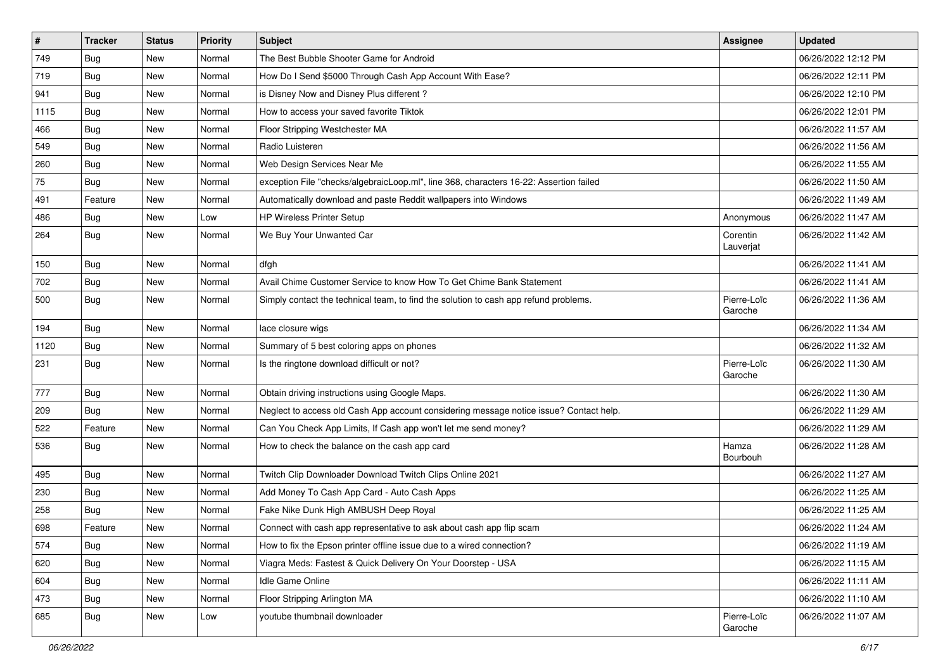| $\vert$ # | <b>Tracker</b> | <b>Status</b> | <b>Priority</b> | <b>Subject</b>                                                                         | <b>Assignee</b>        | <b>Updated</b>      |
|-----------|----------------|---------------|-----------------|----------------------------------------------------------------------------------------|------------------------|---------------------|
| 749       | <b>Bug</b>     | New           | Normal          | The Best Bubble Shooter Game for Android                                               |                        | 06/26/2022 12:12 PM |
| 719       | Bug            | New           | Normal          | How Do I Send \$5000 Through Cash App Account With Ease?                               |                        | 06/26/2022 12:11 PM |
| 941       | Bug            | New           | Normal          | is Disney Now and Disney Plus different?                                               |                        | 06/26/2022 12:10 PM |
| 1115      | <b>Bug</b>     | <b>New</b>    | Normal          | How to access your saved favorite Tiktok                                               |                        | 06/26/2022 12:01 PM |
| 466       | Bug            | New           | Normal          | Floor Stripping Westchester MA                                                         |                        | 06/26/2022 11:57 AM |
| 549       | Bug            | New           | Normal          | Radio Luisteren                                                                        |                        | 06/26/2022 11:56 AM |
| 260       | <b>Bug</b>     | New           | Normal          | Web Design Services Near Me                                                            |                        | 06/26/2022 11:55 AM |
| 75        | <b>Bug</b>     | New           | Normal          | exception File "checks/algebraicLoop.ml", line 368, characters 16-22: Assertion failed |                        | 06/26/2022 11:50 AM |
| 491       | Feature        | New           | Normal          | Automatically download and paste Reddit wallpapers into Windows                        |                        | 06/26/2022 11:49 AM |
| 486       | Bug            | New           | Low             | HP Wireless Printer Setup                                                              | Anonymous              | 06/26/2022 11:47 AM |
| 264       | Bug            | New           | Normal          | We Buy Your Unwanted Car                                                               | Corentin<br>Lauverjat  | 06/26/2022 11:42 AM |
| 150       | Bug            | New           | Normal          | dfgh                                                                                   |                        | 06/26/2022 11:41 AM |
| 702       | Bug            | New           | Normal          | Avail Chime Customer Service to know How To Get Chime Bank Statement                   |                        | 06/26/2022 11:41 AM |
| 500       | <b>Bug</b>     | New           | Normal          | Simply contact the technical team, to find the solution to cash app refund problems.   | Pierre-Loïc<br>Garoche | 06/26/2022 11:36 AM |
| 194       | Bug            | New           | Normal          | lace closure wigs                                                                      |                        | 06/26/2022 11:34 AM |
| 1120      | <b>Bug</b>     | New           | Normal          | Summary of 5 best coloring apps on phones                                              |                        | 06/26/2022 11:32 AM |
| 231       | Bug            | New           | Normal          | Is the ringtone download difficult or not?                                             | Pierre-Loïc<br>Garoche | 06/26/2022 11:30 AM |
| 777       | Bug            | New           | Normal          | Obtain driving instructions using Google Maps.                                         |                        | 06/26/2022 11:30 AM |
| 209       | Bug            | New           | Normal          | Neglect to access old Cash App account considering message notice issue? Contact help. |                        | 06/26/2022 11:29 AM |
| 522       | Feature        | New           | Normal          | Can You Check App Limits, If Cash app won't let me send money?                         |                        | 06/26/2022 11:29 AM |
| 536       | <b>Bug</b>     | New           | Normal          | How to check the balance on the cash app card                                          | Hamza<br>Bourbouh      | 06/26/2022 11:28 AM |
| 495       | <b>Bug</b>     | New           | Normal          | Twitch Clip Downloader Download Twitch Clips Online 2021                               |                        | 06/26/2022 11:27 AM |
| 230       | <b>Bug</b>     | New           | Normal          | Add Money To Cash App Card - Auto Cash Apps                                            |                        | 06/26/2022 11:25 AM |
| 258       | <b>Bug</b>     | New           | Normal          | Fake Nike Dunk High AMBUSH Deep Royal                                                  |                        | 06/26/2022 11:25 AM |
| 698       | Feature        | New           | Normal          | Connect with cash app representative to ask about cash app flip scam                   |                        | 06/26/2022 11:24 AM |
| 574       | Bug            | New           | Normal          | How to fix the Epson printer offline issue due to a wired connection?                  |                        | 06/26/2022 11:19 AM |
| 620       | <b>Bug</b>     | New           | Normal          | Viagra Meds: Fastest & Quick Delivery On Your Doorstep - USA                           |                        | 06/26/2022 11:15 AM |
| 604       | <b>Bug</b>     | New           | Normal          | Idle Game Online                                                                       |                        | 06/26/2022 11:11 AM |
| 473       | <b>Bug</b>     | New           | Normal          | Floor Stripping Arlington MA                                                           |                        | 06/26/2022 11:10 AM |
| 685       | <b>Bug</b>     | New           | Low             | youtube thumbnail downloader                                                           | Pierre-Loïc<br>Garoche | 06/26/2022 11:07 AM |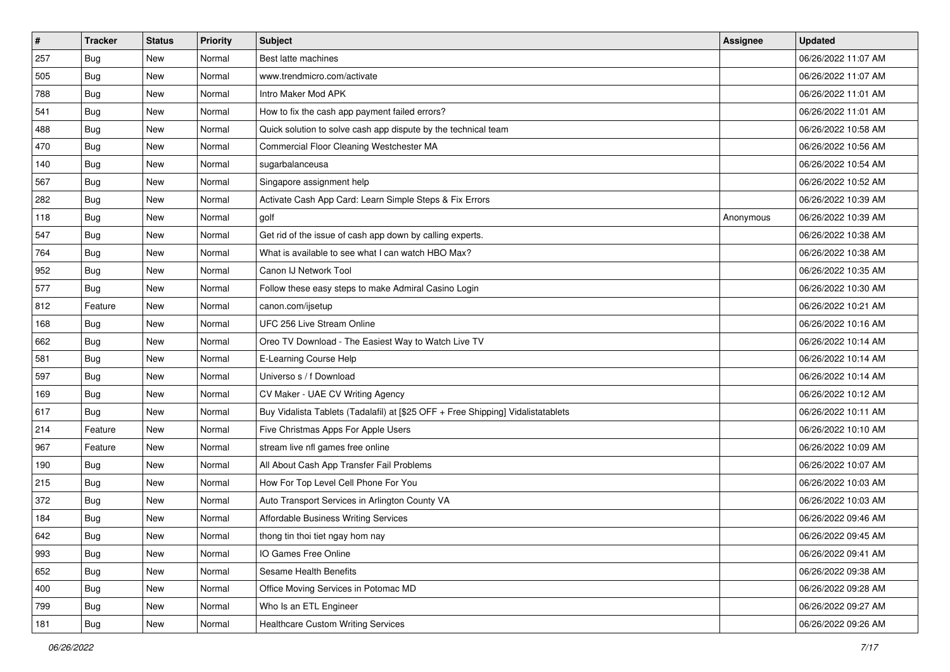| $\sharp$ | <b>Tracker</b> | <b>Status</b> | <b>Priority</b> | Subject                                                                          | <b>Assignee</b> | <b>Updated</b>      |
|----------|----------------|---------------|-----------------|----------------------------------------------------------------------------------|-----------------|---------------------|
| 257      | <b>Bug</b>     | New           | Normal          | Best latte machines                                                              |                 | 06/26/2022 11:07 AM |
| 505      | <b>Bug</b>     | New           | Normal          | www.trendmicro.com/activate                                                      |                 | 06/26/2022 11:07 AM |
| 788      | Bug            | New           | Normal          | Intro Maker Mod APK                                                              |                 | 06/26/2022 11:01 AM |
| 541      | Bug            | New           | Normal          | How to fix the cash app payment failed errors?                                   |                 | 06/26/2022 11:01 AM |
| 488      | Bug            | New           | Normal          | Quick solution to solve cash app dispute by the technical team                   |                 | 06/26/2022 10:58 AM |
| 470      | <b>Bug</b>     | New           | Normal          | Commercial Floor Cleaning Westchester MA                                         |                 | 06/26/2022 10:56 AM |
| 140      | Bug            | New           | Normal          | sugarbalanceusa                                                                  |                 | 06/26/2022 10:54 AM |
| 567      | <b>Bug</b>     | New           | Normal          | Singapore assignment help                                                        |                 | 06/26/2022 10:52 AM |
| 282      | Bug            | New           | Normal          | Activate Cash App Card: Learn Simple Steps & Fix Errors                          |                 | 06/26/2022 10:39 AM |
| 118      | Bug            | New           | Normal          | golf                                                                             | Anonymous       | 06/26/2022 10:39 AM |
| 547      | <b>Bug</b>     | New           | Normal          | Get rid of the issue of cash app down by calling experts.                        |                 | 06/26/2022 10:38 AM |
| 764      | Bug            | New           | Normal          | What is available to see what I can watch HBO Max?                               |                 | 06/26/2022 10:38 AM |
| 952      | Bug            | New           | Normal          | Canon IJ Network Tool                                                            |                 | 06/26/2022 10:35 AM |
| 577      | Bug            | New           | Normal          | Follow these easy steps to make Admiral Casino Login                             |                 | 06/26/2022 10:30 AM |
| 812      | Feature        | New           | Normal          | canon.com/ijsetup                                                                |                 | 06/26/2022 10:21 AM |
| 168      | Bug            | New           | Normal          | UFC 256 Live Stream Online                                                       |                 | 06/26/2022 10:16 AM |
| 662      | Bug            | New           | Normal          | Oreo TV Download - The Easiest Way to Watch Live TV                              |                 | 06/26/2022 10:14 AM |
| 581      | Bug            | <b>New</b>    | Normal          | E-Learning Course Help                                                           |                 | 06/26/2022 10:14 AM |
| 597      | Bug            | New           | Normal          | Universo s / f Download                                                          |                 | 06/26/2022 10:14 AM |
| 169      | Bug            | New           | Normal          | CV Maker - UAE CV Writing Agency                                                 |                 | 06/26/2022 10:12 AM |
| 617      | <b>Bug</b>     | New           | Normal          | Buy Vidalista Tablets (Tadalafil) at [\$25 OFF + Free Shipping] Vidalistatablets |                 | 06/26/2022 10:11 AM |
| 214      | Feature        | New           | Normal          | Five Christmas Apps For Apple Users                                              |                 | 06/26/2022 10:10 AM |
| 967      | Feature        | New           | Normal          | stream live nfl games free online                                                |                 | 06/26/2022 10:09 AM |
| 190      | <b>Bug</b>     | New           | Normal          | All About Cash App Transfer Fail Problems                                        |                 | 06/26/2022 10:07 AM |
| 215      | Bug            | New           | Normal          | How For Top Level Cell Phone For You                                             |                 | 06/26/2022 10:03 AM |
| 372      | Bug            | New           | Normal          | Auto Transport Services in Arlington County VA                                   |                 | 06/26/2022 10:03 AM |
| 184      | <b>Bug</b>     | New           | Normal          | <b>Affordable Business Writing Services</b>                                      |                 | 06/26/2022 09:46 AM |
| 642      | Bug            | New           | Normal          | thong tin thoi tiet ngay hom nay                                                 |                 | 06/26/2022 09:45 AM |
| 993      | <b>Bug</b>     | New           | Normal          | IO Games Free Online                                                             |                 | 06/26/2022 09:41 AM |
| 652      | <b>Bug</b>     | New           | Normal          | Sesame Health Benefits                                                           |                 | 06/26/2022 09:38 AM |
| 400      | <b>Bug</b>     | New           | Normal          | Office Moving Services in Potomac MD                                             |                 | 06/26/2022 09:28 AM |
| 799      | <b>Bug</b>     | New           | Normal          | Who Is an ETL Engineer                                                           |                 | 06/26/2022 09:27 AM |
| 181      | <b>Bug</b>     | New           | Normal          | Healthcare Custom Writing Services                                               |                 | 06/26/2022 09:26 AM |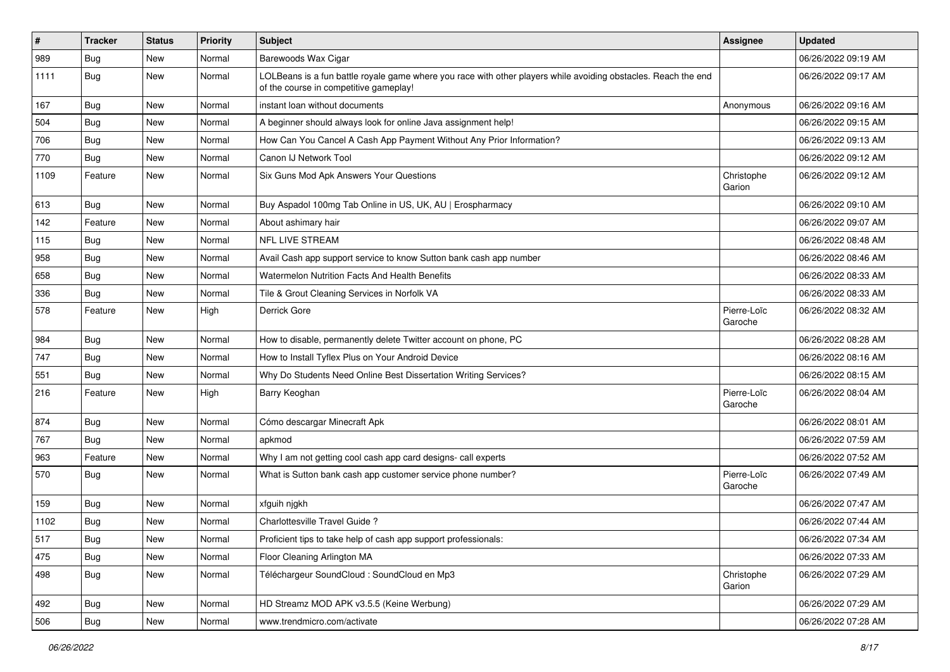| $\vert$ # | <b>Tracker</b> | <b>Status</b> | <b>Priority</b> | Subject                                                                                                                                                  | Assignee               | <b>Updated</b>      |
|-----------|----------------|---------------|-----------------|----------------------------------------------------------------------------------------------------------------------------------------------------------|------------------------|---------------------|
| 989       | <b>Bug</b>     | New           | Normal          | Barewoods Wax Cigar                                                                                                                                      |                        | 06/26/2022 09:19 AM |
| 1111      | <b>Bug</b>     | New           | Normal          | LOLBeans is a fun battle royale game where you race with other players while avoiding obstacles. Reach the end<br>of the course in competitive gameplay! |                        | 06/26/2022 09:17 AM |
| 167       | Bug            | New           | Normal          | instant loan without documents                                                                                                                           | Anonymous              | 06/26/2022 09:16 AM |
| 504       | <b>Bug</b>     | New           | Normal          | A beginner should always look for online Java assignment help!                                                                                           |                        | 06/26/2022 09:15 AM |
| 706       | Bug            | New           | Normal          | How Can You Cancel A Cash App Payment Without Any Prior Information?                                                                                     |                        | 06/26/2022 09:13 AM |
| 770       | <b>Bug</b>     | New           | Normal          | Canon IJ Network Tool                                                                                                                                    |                        | 06/26/2022 09:12 AM |
| 1109      | Feature        | <b>New</b>    | Normal          | Six Guns Mod Apk Answers Your Questions                                                                                                                  | Christophe<br>Garion   | 06/26/2022 09:12 AM |
| 613       | <b>Bug</b>     | New           | Normal          | Buy Aspadol 100mg Tab Online in US, UK, AU   Erospharmacy                                                                                                |                        | 06/26/2022 09:10 AM |
| 142       | Feature        | New           | Normal          | About ashimary hair                                                                                                                                      |                        | 06/26/2022 09:07 AM |
| 115       | <b>Bug</b>     | New           | Normal          | NFL LIVE STREAM                                                                                                                                          |                        | 06/26/2022 08:48 AM |
| 958       | <b>Bug</b>     | New           | Normal          | Avail Cash app support service to know Sutton bank cash app number                                                                                       |                        | 06/26/2022 08:46 AM |
| 658       | <b>Bug</b>     | New           | Normal          | <b>Watermelon Nutrition Facts And Health Benefits</b>                                                                                                    |                        | 06/26/2022 08:33 AM |
| 336       | Bug            | New           | Normal          | Tile & Grout Cleaning Services in Norfolk VA                                                                                                             |                        | 06/26/2022 08:33 AM |
| 578       | Feature        | New           | High            | Derrick Gore                                                                                                                                             | Pierre-Loïc<br>Garoche | 06/26/2022 08:32 AM |
| 984       | Bug            | <b>New</b>    | Normal          | How to disable, permanently delete Twitter account on phone, PC                                                                                          |                        | 06/26/2022 08:28 AM |
| 747       | Bug            | New           | Normal          | How to Install Tyflex Plus on Your Android Device                                                                                                        |                        | 06/26/2022 08:16 AM |
| 551       | <b>Bug</b>     | <b>New</b>    | Normal          | Why Do Students Need Online Best Dissertation Writing Services?                                                                                          |                        | 06/26/2022 08:15 AM |
| 216       | Feature        | New           | High            | Barry Keoghan                                                                                                                                            | Pierre-Loïc<br>Garoche | 06/26/2022 08:04 AM |
| 874       | Bug            | New           | Normal          | Cómo descargar Minecraft Apk                                                                                                                             |                        | 06/26/2022 08:01 AM |
| 767       | Bug            | New           | Normal          | apkmod                                                                                                                                                   |                        | 06/26/2022 07:59 AM |
| 963       | Feature        | New           | Normal          | Why I am not getting cool cash app card designs- call experts                                                                                            |                        | 06/26/2022 07:52 AM |
| 570       | <b>Bug</b>     | New           | Normal          | What is Sutton bank cash app customer service phone number?                                                                                              | Pierre-Loïc<br>Garoche | 06/26/2022 07:49 AM |
| 159       | <b>Bug</b>     | <b>New</b>    | Normal          | xfguih njgkh                                                                                                                                             |                        | 06/26/2022 07:47 AM |
| 1102      | Bug            | New           | Normal          | Charlottesville Travel Guide?                                                                                                                            |                        | 06/26/2022 07:44 AM |
| 517       | Bug            | New           | Normal          | Proficient tips to take help of cash app support professionals:                                                                                          |                        | 06/26/2022 07:34 AM |
| 475       | <b>Bug</b>     | New           | Normal          | Floor Cleaning Arlington MA                                                                                                                              |                        | 06/26/2022 07:33 AM |
| 498       | <b>Bug</b>     | New           | Normal          | Téléchargeur SoundCloud : SoundCloud en Mp3                                                                                                              | Christophe<br>Garion   | 06/26/2022 07:29 AM |
| 492       | <b>Bug</b>     | New           | Normal          | HD Streamz MOD APK v3.5.5 (Keine Werbung)                                                                                                                |                        | 06/26/2022 07:29 AM |
| 506       | <b>Bug</b>     | New           | Normal          | www.trendmicro.com/activate                                                                                                                              |                        | 06/26/2022 07:28 AM |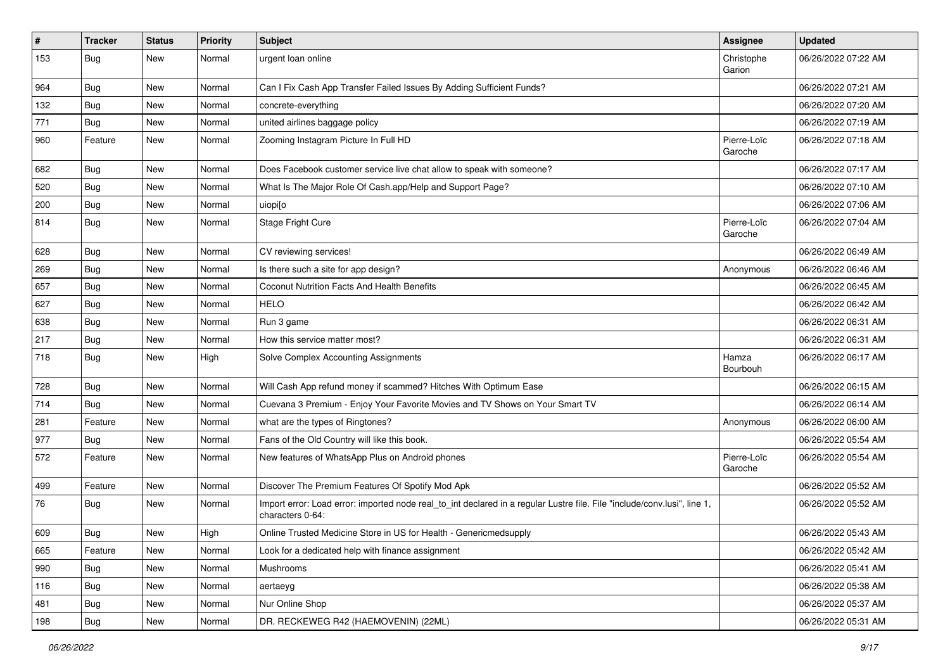| $\vert$ # | <b>Tracker</b> | <b>Status</b> | <b>Priority</b> | Subject                                                                                                                                      | <b>Assignee</b>        | <b>Updated</b>      |
|-----------|----------------|---------------|-----------------|----------------------------------------------------------------------------------------------------------------------------------------------|------------------------|---------------------|
| 153       | Bug            | New           | Normal          | urgent loan online                                                                                                                           | Christophe<br>Garion   | 06/26/2022 07:22 AM |
| 964       | Bug            | New           | Normal          | Can I Fix Cash App Transfer Failed Issues By Adding Sufficient Funds?                                                                        |                        | 06/26/2022 07:21 AM |
| 132       | <b>Bug</b>     | New           | Normal          | concrete-everything                                                                                                                          |                        | 06/26/2022 07:20 AM |
| 771       | <b>Bug</b>     | New           | Normal          | united airlines baggage policy                                                                                                               |                        | 06/26/2022 07:19 AM |
| 960       | Feature        | New           | Normal          | Zooming Instagram Picture In Full HD                                                                                                         | Pierre-Loïc<br>Garoche | 06/26/2022 07:18 AM |
| 682       | Bug            | <b>New</b>    | Normal          | Does Facebook customer service live chat allow to speak with someone?                                                                        |                        | 06/26/2022 07:17 AM |
| 520       | Bug            | New           | Normal          | What Is The Major Role Of Cash.app/Help and Support Page?                                                                                    |                        | 06/26/2022 07:10 AM |
| 200       | Bug            | New           | Normal          | uiopi[o                                                                                                                                      |                        | 06/26/2022 07:06 AM |
| 814       | <b>Bug</b>     | New           | Normal          | Stage Fright Cure                                                                                                                            | Pierre-Loïc<br>Garoche | 06/26/2022 07:04 AM |
| 628       | Bug            | New           | Normal          | CV reviewing services!                                                                                                                       |                        | 06/26/2022 06:49 AM |
| 269       | Bug            | New           | Normal          | Is there such a site for app design?                                                                                                         | Anonymous              | 06/26/2022 06:46 AM |
| 657       | Bug            | New           | Normal          | Coconut Nutrition Facts And Health Benefits                                                                                                  |                        | 06/26/2022 06:45 AM |
| 627       | <b>Bug</b>     | New           | Normal          | <b>HELO</b>                                                                                                                                  |                        | 06/26/2022 06:42 AM |
| 638       | <b>Bug</b>     | New           | Normal          | Run 3 game                                                                                                                                   |                        | 06/26/2022 06:31 AM |
| 217       | <b>Bug</b>     | New           | Normal          | How this service matter most?                                                                                                                |                        | 06/26/2022 06:31 AM |
| 718       | Bug            | New           | High            | Solve Complex Accounting Assignments                                                                                                         | Hamza<br>Bourbouh      | 06/26/2022 06:17 AM |
| 728       | Bug            | New           | Normal          | Will Cash App refund money if scammed? Hitches With Optimum Ease                                                                             |                        | 06/26/2022 06:15 AM |
| 714       | Bug            | New           | Normal          | Cuevana 3 Premium - Enjoy Your Favorite Movies and TV Shows on Your Smart TV                                                                 |                        | 06/26/2022 06:14 AM |
| 281       | Feature        | New           | Normal          | what are the types of Ringtones?                                                                                                             | Anonymous              | 06/26/2022 06:00 AM |
| 977       | <b>Bug</b>     | New           | Normal          | Fans of the Old Country will like this book.                                                                                                 |                        | 06/26/2022 05:54 AM |
| 572       | Feature        | New           | Normal          | New features of WhatsApp Plus on Android phones                                                                                              | Pierre-Loïc<br>Garoche | 06/26/2022 05:54 AM |
| 499       | Feature        | New           | Normal          | Discover The Premium Features Of Spotify Mod Apk                                                                                             |                        | 06/26/2022 05:52 AM |
| 76        | <b>Bug</b>     | New           | Normal          | Import error: Load error: imported node real_to_int declared in a regular Lustre file. File "include/conv.lusi", line 1,<br>characters 0-64: |                        | 06/26/2022 05:52 AM |
| 609       | Bug            | New           | High            | Online Trusted Medicine Store in US for Health - Genericmedsupply                                                                            |                        | 06/26/2022 05:43 AM |
| 665       | Feature        | New           | Normal          | Look for a dedicated help with finance assignment                                                                                            |                        | 06/26/2022 05:42 AM |
| 990       | Bug            | New           | Normal          | Mushrooms                                                                                                                                    |                        | 06/26/2022 05:41 AM |
| 116       | <b>Bug</b>     | New           | Normal          | aertaeyg                                                                                                                                     |                        | 06/26/2022 05:38 AM |
| 481       | <b>Bug</b>     | New           | Normal          | Nur Online Shop                                                                                                                              |                        | 06/26/2022 05:37 AM |
| 198       | <b>Bug</b>     | New           | Normal          | DR. RECKEWEG R42 (HAEMOVENIN) (22ML)                                                                                                         |                        | 06/26/2022 05:31 AM |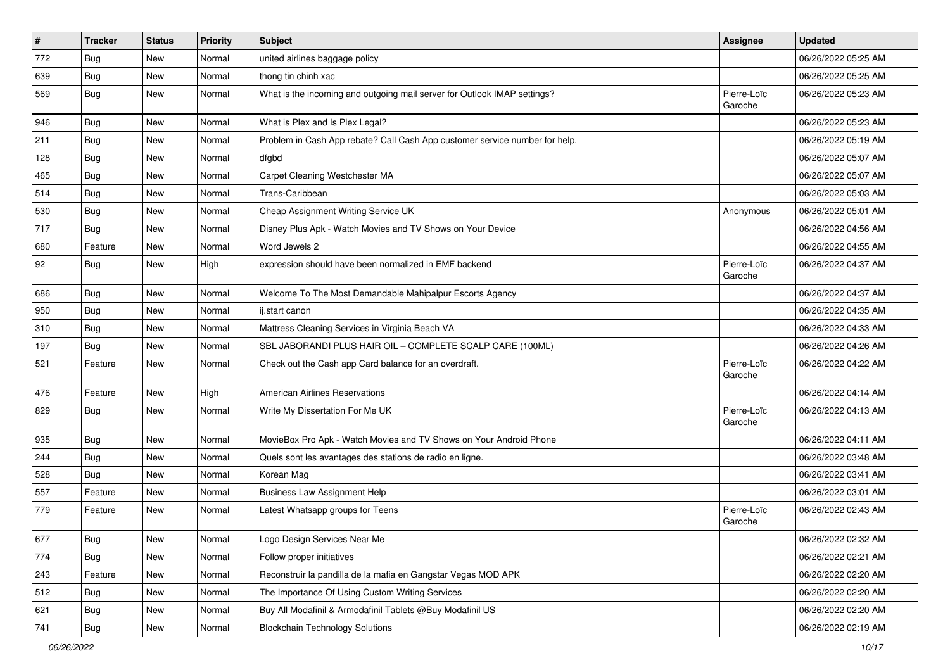| $\vert$ # | <b>Tracker</b> | <b>Status</b> | <b>Priority</b> | <b>Subject</b>                                                              | Assignee               | <b>Updated</b>      |
|-----------|----------------|---------------|-----------------|-----------------------------------------------------------------------------|------------------------|---------------------|
| 772       | <b>Bug</b>     | New           | Normal          | united airlines baggage policy                                              |                        | 06/26/2022 05:25 AM |
| 639       | Bug            | New           | Normal          | thong tin chinh xac                                                         |                        | 06/26/2022 05:25 AM |
| 569       | Bug            | New           | Normal          | What is the incoming and outgoing mail server for Outlook IMAP settings?    | Pierre-Loïc<br>Garoche | 06/26/2022 05:23 AM |
| 946       | <b>Bug</b>     | New           | Normal          | What is Plex and Is Plex Legal?                                             |                        | 06/26/2022 05:23 AM |
| 211       | Bug            | New           | Normal          | Problem in Cash App rebate? Call Cash App customer service number for help. |                        | 06/26/2022 05:19 AM |
| 128       | Bug            | New           | Normal          | dfgbd                                                                       |                        | 06/26/2022 05:07 AM |
| 465       | Bug            | New           | Normal          | Carpet Cleaning Westchester MA                                              |                        | 06/26/2022 05:07 AM |
| 514       | Bug            | New           | Normal          | Trans-Caribbean                                                             |                        | 06/26/2022 05:03 AM |
| 530       | Bug            | New           | Normal          | Cheap Assignment Writing Service UK                                         | Anonymous              | 06/26/2022 05:01 AM |
| 717       | Bug            | New           | Normal          | Disney Plus Apk - Watch Movies and TV Shows on Your Device                  |                        | 06/26/2022 04:56 AM |
| 680       | Feature        | <b>New</b>    | Normal          | Word Jewels 2                                                               |                        | 06/26/2022 04:55 AM |
| 92        | Bug            | New           | High            | expression should have been normalized in EMF backend                       | Pierre-Loïc<br>Garoche | 06/26/2022 04:37 AM |
| 686       | Bug            | New           | Normal          | Welcome To The Most Demandable Mahipalpur Escorts Agency                    |                        | 06/26/2022 04:37 AM |
| 950       | Bug            | New           | Normal          | ij.start canon                                                              |                        | 06/26/2022 04:35 AM |
| 310       | Bug            | New           | Normal          | Mattress Cleaning Services in Virginia Beach VA                             |                        | 06/26/2022 04:33 AM |
| 197       | Bug            | New           | Normal          | SBL JABORANDI PLUS HAIR OIL - COMPLETE SCALP CARE (100ML)                   |                        | 06/26/2022 04:26 AM |
| 521       | Feature        | New           | Normal          | Check out the Cash app Card balance for an overdraft.                       | Pierre-Loïc<br>Garoche | 06/26/2022 04:22 AM |
| 476       | Feature        | New           | High            | <b>American Airlines Reservations</b>                                       |                        | 06/26/2022 04:14 AM |
| 829       | Bug            | New           | Normal          | Write My Dissertation For Me UK                                             | Pierre-Loïc<br>Garoche | 06/26/2022 04:13 AM |
| 935       | Bug            | <b>New</b>    | Normal          | MovieBox Pro Apk - Watch Movies and TV Shows on Your Android Phone          |                        | 06/26/2022 04:11 AM |
| 244       | <b>Bug</b>     | New           | Normal          | Quels sont les avantages des stations de radio en ligne.                    |                        | 06/26/2022 03:48 AM |
| 528       | Bug            | New           | Normal          | Korean Mag                                                                  |                        | 06/26/2022 03:41 AM |
| 557       | Feature        | New           | Normal          | <b>Business Law Assignment Help</b>                                         |                        | 06/26/2022 03:01 AM |
| 779       | Feature        | New           | Normal          | Latest Whatsapp groups for Teens                                            | Pierre-Loïc<br>Garoche | 06/26/2022 02:43 AM |
| 677       | Bug            | New           | Normal          | Logo Design Services Near Me                                                |                        | 06/26/2022 02:32 AM |
| 774       | <b>Bug</b>     | New           | Normal          | Follow proper initiatives                                                   |                        | 06/26/2022 02:21 AM |
| 243       | Feature        | New           | Normal          | Reconstruir la pandilla de la mafia en Gangstar Vegas MOD APK               |                        | 06/26/2022 02:20 AM |
| 512       | <b>Bug</b>     | New           | Normal          | The Importance Of Using Custom Writing Services                             |                        | 06/26/2022 02:20 AM |
| 621       | <b>Bug</b>     | New           | Normal          | Buy All Modafinil & Armodafinil Tablets @Buy Modafinil US                   |                        | 06/26/2022 02:20 AM |
| 741       | Bug            | New           | Normal          | <b>Blockchain Technology Solutions</b>                                      |                        | 06/26/2022 02:19 AM |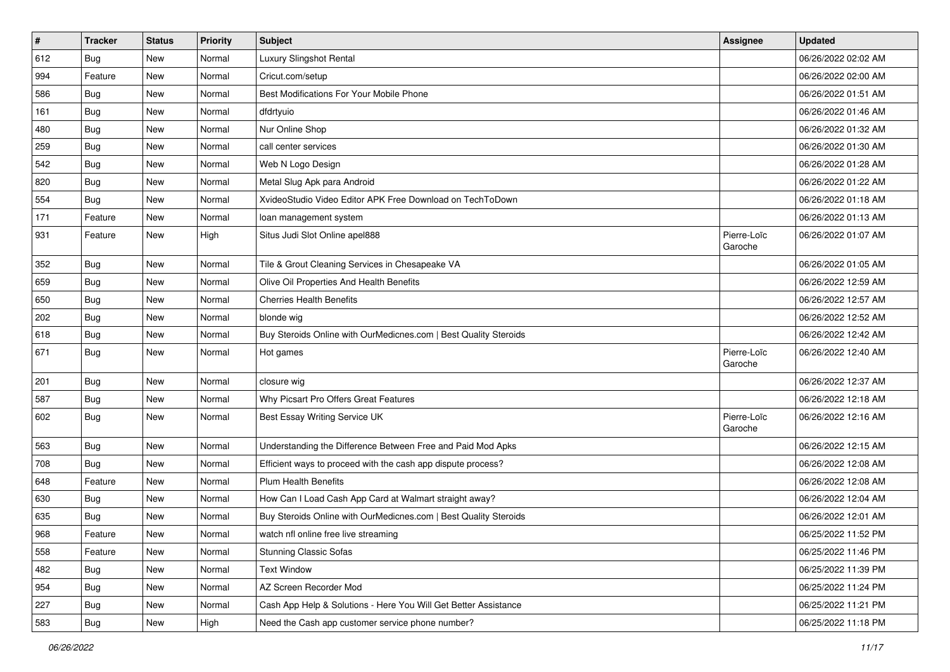| $\vert$ # | <b>Tracker</b> | <b>Status</b> | <b>Priority</b> | <b>Subject</b>                                                   | <b>Assignee</b>        | <b>Updated</b>      |
|-----------|----------------|---------------|-----------------|------------------------------------------------------------------|------------------------|---------------------|
| 612       | <b>Bug</b>     | New           | Normal          | Luxury Slingshot Rental                                          |                        | 06/26/2022 02:02 AM |
| 994       | Feature        | New           | Normal          | Cricut.com/setup                                                 |                        | 06/26/2022 02:00 AM |
| 586       | Bug            | New           | Normal          | Best Modifications For Your Mobile Phone                         |                        | 06/26/2022 01:51 AM |
| 161       | <b>Bug</b>     | New           | Normal          | dfdrtyuio                                                        |                        | 06/26/2022 01:46 AM |
| 480       | Bug            | New           | Normal          | Nur Online Shop                                                  |                        | 06/26/2022 01:32 AM |
| 259       | <b>Bug</b>     | New           | Normal          | call center services                                             |                        | 06/26/2022 01:30 AM |
| 542       | Bug            | New           | Normal          | Web N Logo Design                                                |                        | 06/26/2022 01:28 AM |
| 820       | Bug            | New           | Normal          | Metal Slug Apk para Android                                      |                        | 06/26/2022 01:22 AM |
| 554       | <b>Bug</b>     | New           | Normal          | XvideoStudio Video Editor APK Free Download on TechToDown        |                        | 06/26/2022 01:18 AM |
| 171       | Feature        | New           | Normal          | loan management system                                           |                        | 06/26/2022 01:13 AM |
| 931       | Feature        | New           | High            | Situs Judi Slot Online apel888                                   | Pierre-Loïc<br>Garoche | 06/26/2022 01:07 AM |
| 352       | Bug            | New           | Normal          | Tile & Grout Cleaning Services in Chesapeake VA                  |                        | 06/26/2022 01:05 AM |
| 659       | Bug            | New           | Normal          | Olive Oil Properties And Health Benefits                         |                        | 06/26/2022 12:59 AM |
| 650       | Bug            | New           | Normal          | <b>Cherries Health Benefits</b>                                  |                        | 06/26/2022 12:57 AM |
| 202       | <b>Bug</b>     | New           | Normal          | blonde wig                                                       |                        | 06/26/2022 12:52 AM |
| 618       | Bug            | New           | Normal          | Buy Steroids Online with OurMedicnes.com   Best Quality Steroids |                        | 06/26/2022 12:42 AM |
| 671       | Bug            | New           | Normal          | Hot games                                                        | Pierre-Loïc<br>Garoche | 06/26/2022 12:40 AM |
| 201       | Bug            | New           | Normal          | closure wig                                                      |                        | 06/26/2022 12:37 AM |
| 587       | Bug            | New           | Normal          | Why Picsart Pro Offers Great Features                            |                        | 06/26/2022 12:18 AM |
| 602       | Bug            | New           | Normal          | Best Essay Writing Service UK                                    | Pierre-Loïc<br>Garoche | 06/26/2022 12:16 AM |
| 563       | Bug            | New           | Normal          | Understanding the Difference Between Free and Paid Mod Apks      |                        | 06/26/2022 12:15 AM |
| 708       | Bug            | New           | Normal          | Efficient ways to proceed with the cash app dispute process?     |                        | 06/26/2022 12:08 AM |
| 648       | Feature        | New           | Normal          | Plum Health Benefits                                             |                        | 06/26/2022 12:08 AM |
| 630       | <b>Bug</b>     | New           | Normal          | How Can I Load Cash App Card at Walmart straight away?           |                        | 06/26/2022 12:04 AM |
| 635       | <b>Bug</b>     | New           | Normal          | Buy Steroids Online with OurMedicnes.com   Best Quality Steroids |                        | 06/26/2022 12:01 AM |
| 968       | Feature        | New           | Normal          | watch nfl online free live streaming                             |                        | 06/25/2022 11:52 PM |
| 558       | Feature        | New           | Normal          | <b>Stunning Classic Sofas</b>                                    |                        | 06/25/2022 11:46 PM |
| 482       | Bug            | New           | Normal          | <b>Text Window</b>                                               |                        | 06/25/2022 11:39 PM |
| 954       | <b>Bug</b>     | New           | Normal          | AZ Screen Recorder Mod                                           |                        | 06/25/2022 11:24 PM |
| 227       | <b>Bug</b>     | New           | Normal          | Cash App Help & Solutions - Here You Will Get Better Assistance  |                        | 06/25/2022 11:21 PM |
| 583       | <b>Bug</b>     | New           | High            | Need the Cash app customer service phone number?                 |                        | 06/25/2022 11:18 PM |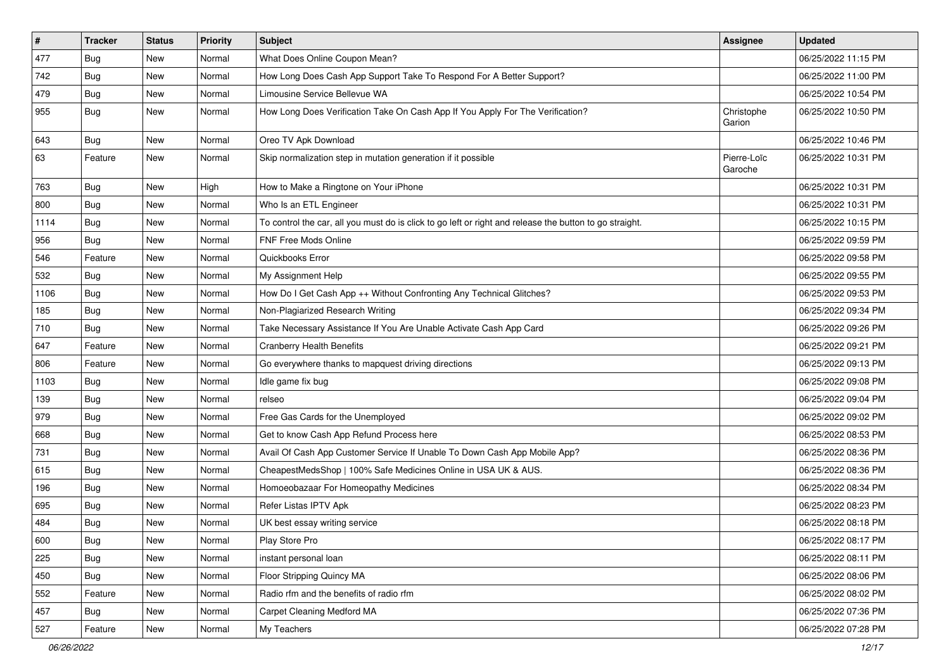| $\vert$ # | <b>Tracker</b> | <b>Status</b> | <b>Priority</b> | Subject                                                                                                 | <b>Assignee</b>        | <b>Updated</b>      |
|-----------|----------------|---------------|-----------------|---------------------------------------------------------------------------------------------------------|------------------------|---------------------|
| 477       | <b>Bug</b>     | New           | Normal          | What Does Online Coupon Mean?                                                                           |                        | 06/25/2022 11:15 PM |
| 742       | Bug            | New           | Normal          | How Long Does Cash App Support Take To Respond For A Better Support?                                    |                        | 06/25/2022 11:00 PM |
| 479       | Bug            | New           | Normal          | Limousine Service Bellevue WA                                                                           |                        | 06/25/2022 10:54 PM |
| 955       | <b>Bug</b>     | New           | Normal          | How Long Does Verification Take On Cash App If You Apply For The Verification?                          | Christophe<br>Garion   | 06/25/2022 10:50 PM |
| 643       | <b>Bug</b>     | New           | Normal          | Oreo TV Apk Download                                                                                    |                        | 06/25/2022 10:46 PM |
| 63        | Feature        | New           | Normal          | Skip normalization step in mutation generation if it possible                                           | Pierre-Loïc<br>Garoche | 06/25/2022 10:31 PM |
| 763       | Bug            | New           | High            | How to Make a Ringtone on Your iPhone                                                                   |                        | 06/25/2022 10:31 PM |
| 800       | Bug            | New           | Normal          | Who Is an ETL Engineer                                                                                  |                        | 06/25/2022 10:31 PM |
| 1114      | Bug            | <b>New</b>    | Normal          | To control the car, all you must do is click to go left or right and release the button to go straight. |                        | 06/25/2022 10:15 PM |
| 956       | <b>Bug</b>     | New           | Normal          | <b>FNF Free Mods Online</b>                                                                             |                        | 06/25/2022 09:59 PM |
| 546       | Feature        | New           | Normal          | Quickbooks Error                                                                                        |                        | 06/25/2022 09:58 PM |
| 532       | <b>Bug</b>     | New           | Normal          | My Assignment Help                                                                                      |                        | 06/25/2022 09:55 PM |
| 1106      | <b>Bug</b>     | New           | Normal          | How Do I Get Cash App ++ Without Confronting Any Technical Glitches?                                    |                        | 06/25/2022 09:53 PM |
| 185       | Bug            | New           | Normal          | Non-Plagiarized Research Writing                                                                        |                        | 06/25/2022 09:34 PM |
| 710       | <b>Bug</b>     | New           | Normal          | Take Necessary Assistance If You Are Unable Activate Cash App Card                                      |                        | 06/25/2022 09:26 PM |
| 647       | Feature        | <b>New</b>    | Normal          | <b>Cranberry Health Benefits</b>                                                                        |                        | 06/25/2022 09:21 PM |
| 806       | Feature        | New           | Normal          | Go everywhere thanks to mapquest driving directions                                                     |                        | 06/25/2022 09:13 PM |
| 1103      | <b>Bug</b>     | New           | Normal          | Idle game fix bug                                                                                       |                        | 06/25/2022 09:08 PM |
| 139       | Bug            | New           | Normal          | relseo                                                                                                  |                        | 06/25/2022 09:04 PM |
| 979       | <b>Bug</b>     | New           | Normal          | Free Gas Cards for the Unemployed                                                                       |                        | 06/25/2022 09:02 PM |
| 668       | <b>Bug</b>     | New           | Normal          | Get to know Cash App Refund Process here                                                                |                        | 06/25/2022 08:53 PM |
| 731       | <b>Bug</b>     | New           | Normal          | Avail Of Cash App Customer Service If Unable To Down Cash App Mobile App?                               |                        | 06/25/2022 08:36 PM |
| 615       | <b>Bug</b>     | New           | Normal          | CheapestMedsShop   100% Safe Medicines Online in USA UK & AUS.                                          |                        | 06/25/2022 08:36 PM |
| 196       | <b>Bug</b>     | New           | Normal          | Homoeobazaar For Homeopathy Medicines                                                                   |                        | 06/25/2022 08:34 PM |
| 695       | <b>Bug</b>     | New           | Normal          | Refer Listas IPTV Apk                                                                                   |                        | 06/25/2022 08:23 PM |
| 484       | Bug            | New           | Normal          | UK best essay writing service                                                                           |                        | 06/25/2022 08:18 PM |
| 600       | Bug            | New           | Normal          | Play Store Pro                                                                                          |                        | 06/25/2022 08:17 PM |
| 225       | <b>Bug</b>     | New           | Normal          | instant personal loan                                                                                   |                        | 06/25/2022 08:11 PM |
| 450       | Bug            | New           | Normal          | Floor Stripping Quincy MA                                                                               |                        | 06/25/2022 08:06 PM |
| 552       | Feature        | New           | Normal          | Radio rfm and the benefits of radio rfm                                                                 |                        | 06/25/2022 08:02 PM |
| 457       | <b>Bug</b>     | New           | Normal          | Carpet Cleaning Medford MA                                                                              |                        | 06/25/2022 07:36 PM |
| 527       | Feature        | New           | Normal          | My Teachers                                                                                             |                        | 06/25/2022 07:28 PM |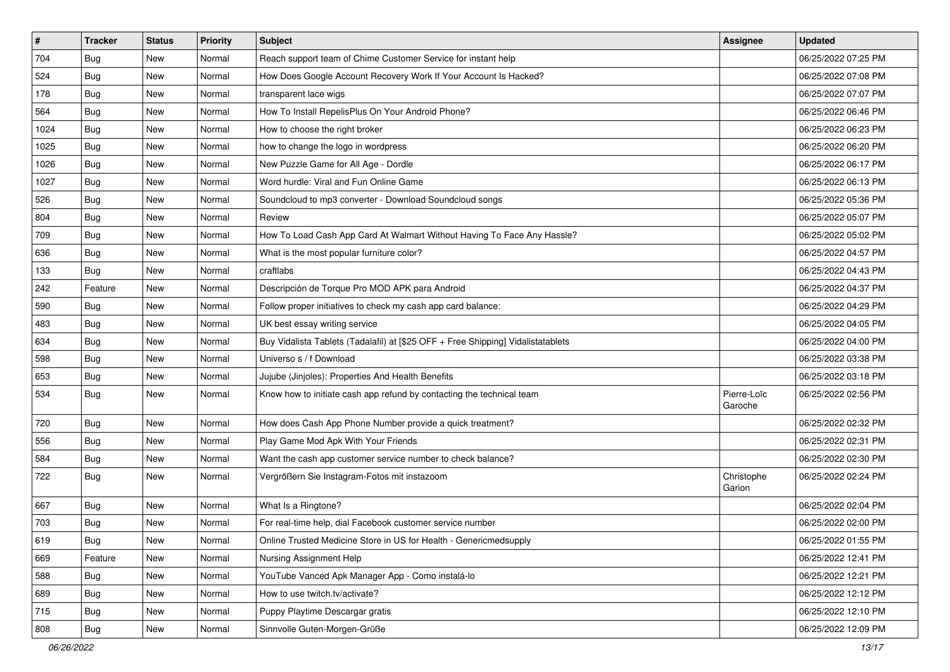| #    | <b>Tracker</b> | <b>Status</b> | <b>Priority</b> | Subject                                                                          | <b>Assignee</b>        | <b>Updated</b>      |
|------|----------------|---------------|-----------------|----------------------------------------------------------------------------------|------------------------|---------------------|
| 704  | <b>Bug</b>     | New           | Normal          | Reach support team of Chime Customer Service for instant help                    |                        | 06/25/2022 07:25 PM |
| 524  | Bug            | New           | Normal          | How Does Google Account Recovery Work If Your Account Is Hacked?                 |                        | 06/25/2022 07:08 PM |
| 178  | Bug            | New           | Normal          | transparent lace wigs                                                            |                        | 06/25/2022 07:07 PM |
| 564  | <b>Bug</b>     | New           | Normal          | How To Install RepelisPlus On Your Android Phone?                                |                        | 06/25/2022 06:46 PM |
| 1024 | <b>Bug</b>     | New           | Normal          | How to choose the right broker                                                   |                        | 06/25/2022 06:23 PM |
| 1025 | Bug            | New           | Normal          | how to change the logo in wordpress                                              |                        | 06/25/2022 06:20 PM |
| 1026 | <b>Bug</b>     | New           | Normal          | New Puzzle Game for All Age - Dordle                                             |                        | 06/25/2022 06:17 PM |
| 1027 | Bug            | New           | Normal          | Word hurdle: Viral and Fun Online Game                                           |                        | 06/25/2022 06:13 PM |
| 526  | Bug            | New           | Normal          | Soundcloud to mp3 converter - Download Soundcloud songs                          |                        | 06/25/2022 05:36 PM |
| 804  | <b>Bug</b>     | <b>New</b>    | Normal          | Review                                                                           |                        | 06/25/2022 05:07 PM |
| 709  | Bug            | New           | Normal          | How To Load Cash App Card At Walmart Without Having To Face Any Hassle?          |                        | 06/25/2022 05:02 PM |
| 636  | <b>Bug</b>     | <b>New</b>    | Normal          | What is the most popular furniture color?                                        |                        | 06/25/2022 04:57 PM |
| 133  | Bug            | New           | Normal          | craftlabs                                                                        |                        | 06/25/2022 04:43 PM |
| 242  | Feature        | New           | Normal          | Descripción de Torque Pro MOD APK para Android                                   |                        | 06/25/2022 04:37 PM |
| 590  | Bug            | New           | Normal          | Follow proper initiatives to check my cash app card balance:                     |                        | 06/25/2022 04:29 PM |
| 483  | Bug            | New           | Normal          | UK best essay writing service                                                    |                        | 06/25/2022 04:05 PM |
| 634  | <b>Bug</b>     | New           | Normal          | Buy Vidalista Tablets (Tadalafil) at [\$25 OFF + Free Shipping] Vidalistatablets |                        | 06/25/2022 04:00 PM |
| 598  | Bug            | New           | Normal          | Universo s / f Download                                                          |                        | 06/25/2022 03:38 PM |
| 653  | <b>Bug</b>     | New           | Normal          | Jujube (Jinjoles): Properties And Health Benefits                                |                        | 06/25/2022 03:18 PM |
| 534  | <b>Bug</b>     | New           | Normal          | Know how to initiate cash app refund by contacting the technical team            | Pierre-Loïc<br>Garoche | 06/25/2022 02:56 PM |
| 720  | Bug            | New           | Normal          | How does Cash App Phone Number provide a quick treatment?                        |                        | 06/25/2022 02:32 PM |
| 556  | Bug            | <b>New</b>    | Normal          | Play Game Mod Apk With Your Friends                                              |                        | 06/25/2022 02:31 PM |
| 584  | <b>Bug</b>     | New           | Normal          | Want the cash app customer service number to check balance?                      |                        | 06/25/2022 02:30 PM |
| 722  | <b>Bug</b>     | New           | Normal          | Vergrößern Sie Instagram-Fotos mit instazoom                                     | Christophe<br>Garion   | 06/25/2022 02:24 PM |
| 667  | <b>Bug</b>     | New           | Normal          | What Is a Ringtone?                                                              |                        | 06/25/2022 02:04 PM |
| 703  | <b>Bug</b>     | New           | Normal          | For real-time help, dial Facebook customer service number                        |                        | 06/25/2022 02:00 PM |
| 619  | <b>Bug</b>     | New           | Normal          | Online Trusted Medicine Store in US for Health - Genericmedsupply                |                        | 06/25/2022 01:55 PM |
| 669  | Feature        | New           | Normal          | Nursing Assignment Help                                                          |                        | 06/25/2022 12:41 PM |
| 588  | <b>Bug</b>     | New           | Normal          | YouTube Vanced Apk Manager App - Como instalá-lo                                 |                        | 06/25/2022 12:21 PM |
| 689  | <b>Bug</b>     | New           | Normal          | How to use twitch.tv/activate?                                                   |                        | 06/25/2022 12:12 PM |
| 715  | <b>Bug</b>     | New           | Normal          | Puppy Playtime Descargar gratis                                                  |                        | 06/25/2022 12:10 PM |
| 808  | <b>Bug</b>     | New           | Normal          | Sinnvolle Guten-Morgen-Grüße                                                     |                        | 06/25/2022 12:09 PM |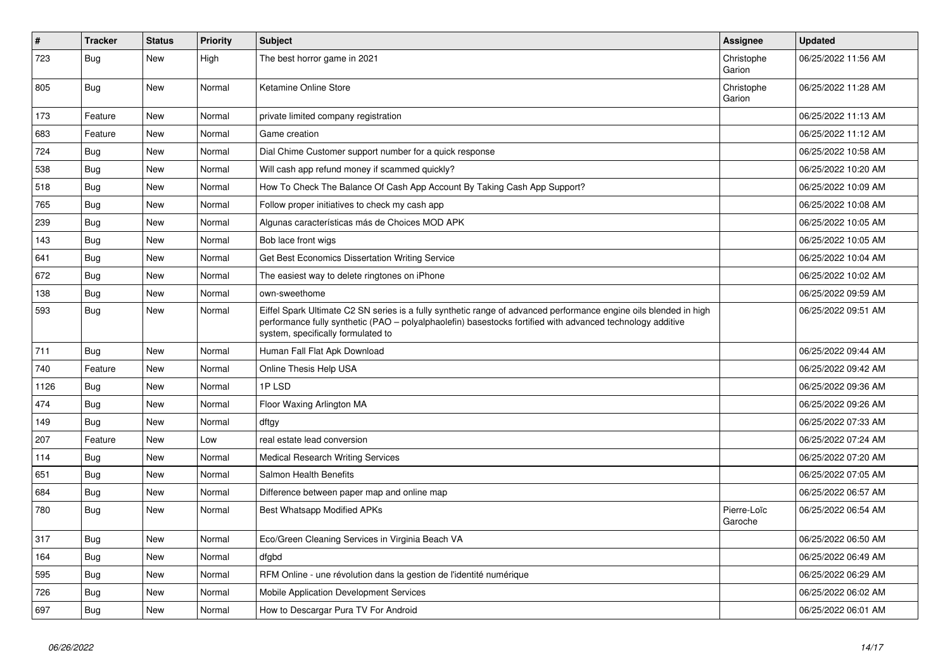| $\vert$ # | <b>Tracker</b> | <b>Status</b> | Priority | <b>Subject</b>                                                                                                                                                                                                                                                        | <b>Assignee</b>        | <b>Updated</b>      |
|-----------|----------------|---------------|----------|-----------------------------------------------------------------------------------------------------------------------------------------------------------------------------------------------------------------------------------------------------------------------|------------------------|---------------------|
| 723       | Bug            | New           | High     | The best horror game in 2021                                                                                                                                                                                                                                          | Christophe<br>Garion   | 06/25/2022 11:56 AM |
| 805       | <b>Bug</b>     | New           | Normal   | Ketamine Online Store                                                                                                                                                                                                                                                 | Christophe<br>Garion   | 06/25/2022 11:28 AM |
| 173       | Feature        | <b>New</b>    | Normal   | private limited company registration                                                                                                                                                                                                                                  |                        | 06/25/2022 11:13 AM |
| 683       | Feature        | New           | Normal   | Game creation                                                                                                                                                                                                                                                         |                        | 06/25/2022 11:12 AM |
| 724       | Bug            | <b>New</b>    | Normal   | Dial Chime Customer support number for a quick response                                                                                                                                                                                                               |                        | 06/25/2022 10:58 AM |
| 538       | Bug            | <b>New</b>    | Normal   | Will cash app refund money if scammed quickly?                                                                                                                                                                                                                        |                        | 06/25/2022 10:20 AM |
| 518       | Bug            | <b>New</b>    | Normal   | How To Check The Balance Of Cash App Account By Taking Cash App Support?                                                                                                                                                                                              |                        | 06/25/2022 10:09 AM |
| 765       | Bug            | New           | Normal   | Follow proper initiatives to check my cash app                                                                                                                                                                                                                        |                        | 06/25/2022 10:08 AM |
| 239       | <b>Bug</b>     | New           | Normal   | Algunas características más de Choices MOD APK                                                                                                                                                                                                                        |                        | 06/25/2022 10:05 AM |
| 143       | Bug            | <b>New</b>    | Normal   | Bob lace front wigs                                                                                                                                                                                                                                                   |                        | 06/25/2022 10:05 AM |
| 641       | <b>Bug</b>     | <b>New</b>    | Normal   | Get Best Economics Dissertation Writing Service                                                                                                                                                                                                                       |                        | 06/25/2022 10:04 AM |
| 672       | Bug            | <b>New</b>    | Normal   | The easiest way to delete ringtones on iPhone                                                                                                                                                                                                                         |                        | 06/25/2022 10:02 AM |
| 138       | <b>Bug</b>     | <b>New</b>    | Normal   | own-sweethome                                                                                                                                                                                                                                                         |                        | 06/25/2022 09:59 AM |
| 593       | <b>Bug</b>     | New           | Normal   | Eiffel Spark Ultimate C2 SN series is a fully synthetic range of advanced performance engine oils blended in high<br>performance fully synthetic (PAO - polyalphaolefin) basestocks fortified with advanced technology additive<br>system, specifically formulated to |                        | 06/25/2022 09:51 AM |
| 711       | <b>Bug</b>     | <b>New</b>    | Normal   | Human Fall Flat Apk Download                                                                                                                                                                                                                                          |                        | 06/25/2022 09:44 AM |
| 740       | Feature        | <b>New</b>    | Normal   | Online Thesis Help USA                                                                                                                                                                                                                                                |                        | 06/25/2022 09:42 AM |
| 1126      | <b>Bug</b>     | <b>New</b>    | Normal   | 1PLSD                                                                                                                                                                                                                                                                 |                        | 06/25/2022 09:36 AM |
| 474       | Bug            | <b>New</b>    | Normal   | Floor Waxing Arlington MA                                                                                                                                                                                                                                             |                        | 06/25/2022 09:26 AM |
| 149       | Bug            | <b>New</b>    | Normal   | dftgy                                                                                                                                                                                                                                                                 |                        | 06/25/2022 07:33 AM |
| 207       | Feature        | New           | Low      | real estate lead conversion                                                                                                                                                                                                                                           |                        | 06/25/2022 07:24 AM |
| 114       | Bug            | <b>New</b>    | Normal   | <b>Medical Research Writing Services</b>                                                                                                                                                                                                                              |                        | 06/25/2022 07:20 AM |
| 651       | <b>Bug</b>     | New           | Normal   | Salmon Health Benefits                                                                                                                                                                                                                                                |                        | 06/25/2022 07:05 AM |
| 684       | Bug            | <b>New</b>    | Normal   | Difference between paper map and online map                                                                                                                                                                                                                           |                        | 06/25/2022 06:57 AM |
| 780       | Bug            | New           | Normal   | <b>Best Whatsapp Modified APKs</b>                                                                                                                                                                                                                                    | Pierre-Loïc<br>Garoche | 06/25/2022 06:54 AM |
| 317       | <b>Bug</b>     | <b>New</b>    | Normal   | Eco/Green Cleaning Services in Virginia Beach VA                                                                                                                                                                                                                      |                        | 06/25/2022 06:50 AM |
| 164       | Bug            | New           | Normal   | dfgbd                                                                                                                                                                                                                                                                 |                        | 06/25/2022 06:49 AM |
| 595       | Bug            | <b>New</b>    | Normal   | RFM Online - une révolution dans la gestion de l'identité numérique                                                                                                                                                                                                   |                        | 06/25/2022 06:29 AM |
| 726       | <b>Bug</b>     | <b>New</b>    | Normal   | <b>Mobile Application Development Services</b>                                                                                                                                                                                                                        |                        | 06/25/2022 06:02 AM |
| 697       | <b>Bug</b>     | <b>New</b>    | Normal   | How to Descargar Pura TV For Android                                                                                                                                                                                                                                  |                        | 06/25/2022 06:01 AM |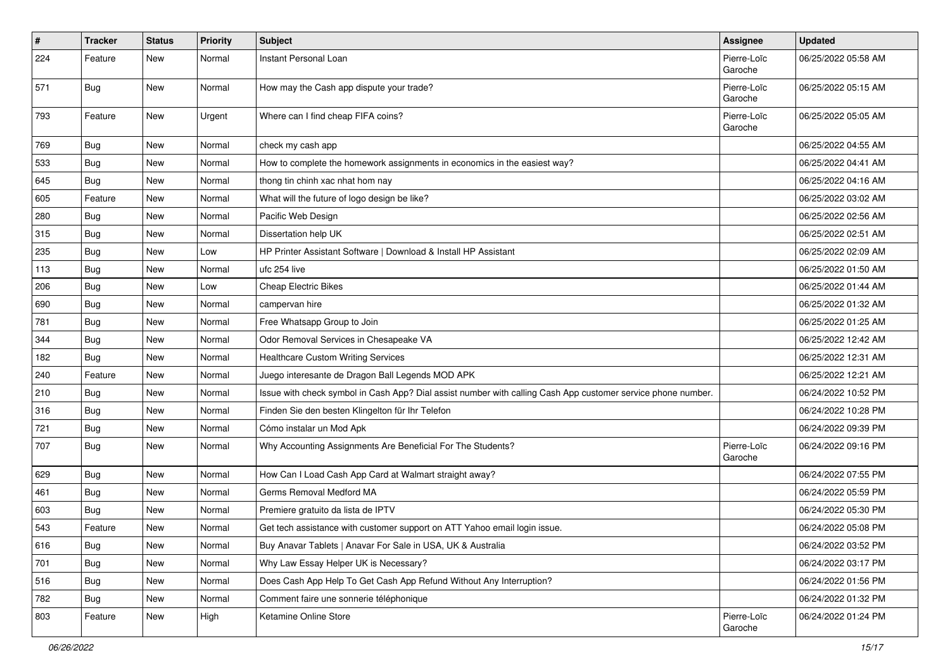| $\sharp$ | <b>Tracker</b> | <b>Status</b> | <b>Priority</b> | Subject                                                                                                      | Assignee               | <b>Updated</b>      |
|----------|----------------|---------------|-----------------|--------------------------------------------------------------------------------------------------------------|------------------------|---------------------|
| 224      | Feature        | New           | Normal          | <b>Instant Personal Loan</b>                                                                                 | Pierre-Loïc<br>Garoche | 06/25/2022 05:58 AM |
| 571      | <b>Bug</b>     | New           | Normal          | How may the Cash app dispute your trade?                                                                     | Pierre-Loïc<br>Garoche | 06/25/2022 05:15 AM |
| 793      | Feature        | New           | Urgent          | Where can I find cheap FIFA coins?                                                                           | Pierre-Loïc<br>Garoche | 06/25/2022 05:05 AM |
| 769      | Bug            | New           | Normal          | check my cash app                                                                                            |                        | 06/25/2022 04:55 AM |
| 533      | Bug            | New           | Normal          | How to complete the homework assignments in economics in the easiest way?                                    |                        | 06/25/2022 04:41 AM |
| 645      | Bug            | New           | Normal          | thong tin chinh xac nhat hom nay                                                                             |                        | 06/25/2022 04:16 AM |
| 605      | Feature        | <b>New</b>    | Normal          | What will the future of logo design be like?                                                                 |                        | 06/25/2022 03:02 AM |
| 280      | <b>Bug</b>     | New           | Normal          | Pacific Web Design                                                                                           |                        | 06/25/2022 02:56 AM |
| 315      | Bug            | New           | Normal          | Dissertation help UK                                                                                         |                        | 06/25/2022 02:51 AM |
| 235      | Bug            | New           | Low             | HP Printer Assistant Software   Download & Install HP Assistant                                              |                        | 06/25/2022 02:09 AM |
| 113      | Bug            | New           | Normal          | ufc 254 live                                                                                                 |                        | 06/25/2022 01:50 AM |
| 206      | Bug            | New           | Low             | Cheap Electric Bikes                                                                                         |                        | 06/25/2022 01:44 AM |
| 690      | <b>Bug</b>     | New           | Normal          | campervan hire                                                                                               |                        | 06/25/2022 01:32 AM |
| 781      | <b>Bug</b>     | <b>New</b>    | Normal          | Free Whatsapp Group to Join                                                                                  |                        | 06/25/2022 01:25 AM |
| 344      | Bug            | New           | Normal          | Odor Removal Services in Chesapeake VA                                                                       |                        | 06/25/2022 12:42 AM |
| 182      | <b>Bug</b>     | New           | Normal          | <b>Healthcare Custom Writing Services</b>                                                                    |                        | 06/25/2022 12:31 AM |
| 240      | Feature        | New           | Normal          | Juego interesante de Dragon Ball Legends MOD APK                                                             |                        | 06/25/2022 12:21 AM |
| 210      | Bug            | New           | Normal          | Issue with check symbol in Cash App? Dial assist number with calling Cash App customer service phone number. |                        | 06/24/2022 10:52 PM |
| 316      | <b>Bug</b>     | New           | Normal          | Finden Sie den besten Klingelton für Ihr Telefon                                                             |                        | 06/24/2022 10:28 PM |
| 721      | Bug            | New           | Normal          | Cómo instalar un Mod Apk                                                                                     |                        | 06/24/2022 09:39 PM |
| 707      | <b>Bug</b>     | New           | Normal          | Why Accounting Assignments Are Beneficial For The Students?                                                  | Pierre-Loïc<br>Garoche | 06/24/2022 09:16 PM |
| 629      | Bug            | New           | Normal          | How Can I Load Cash App Card at Walmart straight away?                                                       |                        | 06/24/2022 07:55 PM |
| 461      | <b>Bug</b>     | New           | Normal          | Germs Removal Medford MA                                                                                     |                        | 06/24/2022 05:59 PM |
| 603      | <b>Bug</b>     | New           | Normal          | Premiere gratuito da lista de IPTV                                                                           |                        | 06/24/2022 05:30 PM |
| 543      | Feature        | New           | Normal          | Get tech assistance with customer support on ATT Yahoo email login issue.                                    |                        | 06/24/2022 05:08 PM |
| 616      | <b>Bug</b>     | New           | Normal          | Buy Anavar Tablets   Anavar For Sale in USA, UK & Australia                                                  |                        | 06/24/2022 03:52 PM |
| 701      | <b>Bug</b>     | New           | Normal          | Why Law Essay Helper UK is Necessary?                                                                        |                        | 06/24/2022 03:17 PM |
| 516      | Bug            | New           | Normal          | Does Cash App Help To Get Cash App Refund Without Any Interruption?                                          |                        | 06/24/2022 01:56 PM |
| 782      | <b>Bug</b>     | New           | Normal          | Comment faire une sonnerie téléphonique                                                                      |                        | 06/24/2022 01:32 PM |
| 803      | Feature        | New           | High            | Ketamine Online Store                                                                                        | Pierre-Loïc<br>Garoche | 06/24/2022 01:24 PM |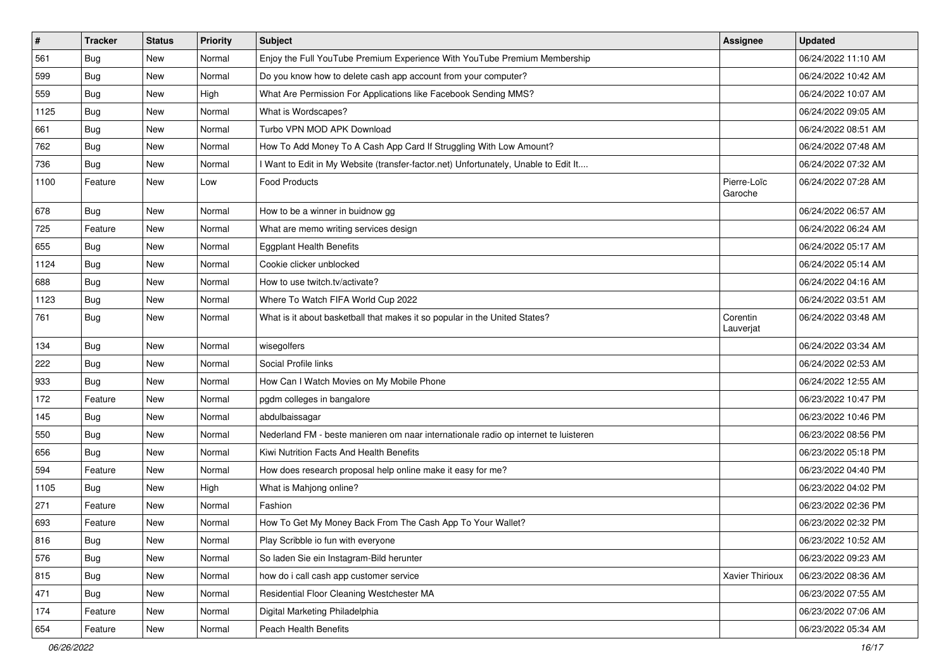| #    | <b>Tracker</b> | <b>Status</b> | <b>Priority</b> | Subject                                                                             | <b>Assignee</b>        | <b>Updated</b>      |
|------|----------------|---------------|-----------------|-------------------------------------------------------------------------------------|------------------------|---------------------|
| 561  | <b>Bug</b>     | New           | Normal          | Enjoy the Full YouTube Premium Experience With YouTube Premium Membership           |                        | 06/24/2022 11:10 AM |
| 599  | Bug            | New           | Normal          | Do you know how to delete cash app account from your computer?                      |                        | 06/24/2022 10:42 AM |
| 559  | Bug            | New           | High            | What Are Permission For Applications like Facebook Sending MMS?                     |                        | 06/24/2022 10:07 AM |
| 1125 | <b>Bug</b>     | New           | Normal          | What is Wordscapes?                                                                 |                        | 06/24/2022 09:05 AM |
| 661  | Bug            | New           | Normal          | Turbo VPN MOD APK Download                                                          |                        | 06/24/2022 08:51 AM |
| 762  | <b>Bug</b>     | New           | Normal          | How To Add Money To A Cash App Card If Struggling With Low Amount?                  |                        | 06/24/2022 07:48 AM |
| 736  | <b>Bug</b>     | New           | Normal          | I Want to Edit in My Website (transfer-factor.net) Unfortunately, Unable to Edit It |                        | 06/24/2022 07:32 AM |
| 1100 | Feature        | New           | Low             | <b>Food Products</b>                                                                | Pierre-Loïc<br>Garoche | 06/24/2022 07:28 AM |
| 678  | <b>Bug</b>     | New           | Normal          | How to be a winner in buidnow gg                                                    |                        | 06/24/2022 06:57 AM |
| 725  | Feature        | New           | Normal          | What are memo writing services design                                               |                        | 06/24/2022 06:24 AM |
| 655  | <b>Bug</b>     | New           | Normal          | <b>Eggplant Health Benefits</b>                                                     |                        | 06/24/2022 05:17 AM |
| 1124 | Bug            | New           | Normal          | Cookie clicker unblocked                                                            |                        | 06/24/2022 05:14 AM |
| 688  | Bug            | New           | Normal          | How to use twitch.tv/activate?                                                      |                        | 06/24/2022 04:16 AM |
| 1123 | Bug            | New           | Normal          | Where To Watch FIFA World Cup 2022                                                  |                        | 06/24/2022 03:51 AM |
| 761  | <b>Bug</b>     | New           | Normal          | What is it about basketball that makes it so popular in the United States?          | Corentin<br>Lauverjat  | 06/24/2022 03:48 AM |
| 134  | Bug            | <b>New</b>    | Normal          | wisegolfers                                                                         |                        | 06/24/2022 03:34 AM |
| 222  | Bug            | New           | Normal          | Social Profile links                                                                |                        | 06/24/2022 02:53 AM |
| 933  | <b>Bug</b>     | <b>New</b>    | Normal          | How Can I Watch Movies on My Mobile Phone                                           |                        | 06/24/2022 12:55 AM |
| 172  | Feature        | New           | Normal          | pgdm colleges in bangalore                                                          |                        | 06/23/2022 10:47 PM |
| 145  | Bug            | New           | Normal          | abdulbaissagar                                                                      |                        | 06/23/2022 10:46 PM |
| 550  | Bug            | New           | Normal          | Nederland FM - beste manieren om naar internationale radio op internet te luisteren |                        | 06/23/2022 08:56 PM |
| 656  | <b>Bug</b>     | New           | Normal          | Kiwi Nutrition Facts And Health Benefits                                            |                        | 06/23/2022 05:18 PM |
| 594  | Feature        | New           | Normal          | How does research proposal help online make it easy for me?                         |                        | 06/23/2022 04:40 PM |
| 1105 | Bug            | New           | High            | What is Mahjong online?                                                             |                        | 06/23/2022 04:02 PM |
| 271  | Feature        | New           | Normal          | Fashion                                                                             |                        | 06/23/2022 02:36 PM |
| 693  | Feature        | New           | Normal          | How To Get My Money Back From The Cash App To Your Wallet?                          |                        | 06/23/2022 02:32 PM |
| 816  | Bug            | New           | Normal          | Play Scribble io fun with everyone                                                  |                        | 06/23/2022 10:52 AM |
| 576  | <b>Bug</b>     | New           | Normal          | So laden Sie ein Instagram-Bild herunter                                            |                        | 06/23/2022 09:23 AM |
| 815  | <b>Bug</b>     | New           | Normal          | how do i call cash app customer service                                             | Xavier Thirioux        | 06/23/2022 08:36 AM |
| 471  | <b>Bug</b>     | New           | Normal          | Residential Floor Cleaning Westchester MA                                           |                        | 06/23/2022 07:55 AM |
| 174  | Feature        | New           | Normal          | Digital Marketing Philadelphia                                                      |                        | 06/23/2022 07:06 AM |
| 654  | Feature        | New           | Normal          | Peach Health Benefits                                                               |                        | 06/23/2022 05:34 AM |